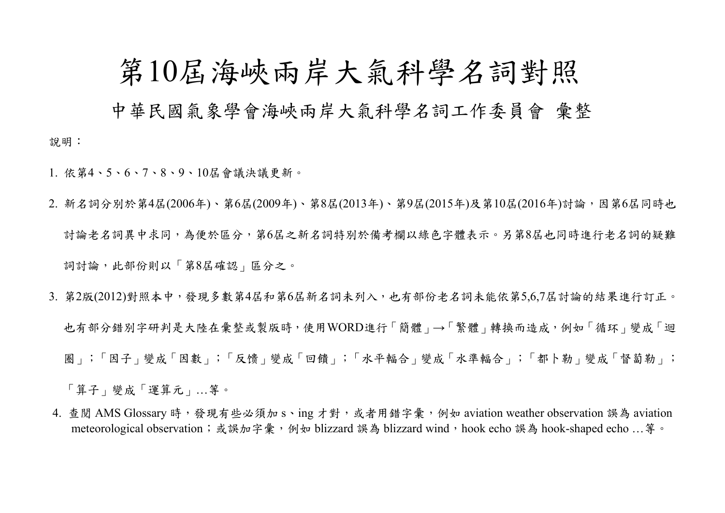## 第10屆海峽兩岸大氣科學名詞對照

中華民國氣象學會海峽兩岸大氣科學名詞工作委員會 彙整

1. 依第4、5、6、7、8、9、10屆會議決議更新。

說明:

- 2. 新名詞分別於第4屆(2006年)、第6屆(2009年)、第8屆(2013年)、第9屆(2015年)及第10屆(2016年)討論,因第6屆同時也 討論老名詞異中求同,為便於區分,第6屆之新名詞特別於備考欄以綠色字體表示。另第8屆也同時進行老名詞的疑難 詞討論,此部份則以「第8屆確認」區分之。
- 3. 第2版(2012)對照本中,發現多數第4屆和第6屆新名詞未列入,也有部份老名詞未能依第5,6,7屆討論的結果進行訂正。 也有部分錯別字研判是大陸在彙整或製版時,使用WORD進行「簡體」→「繁體」轉換而造成,例如「循环」變成「迴 圈」;「因子」變成「因數」;「反馈」變成「回饋」;「水平輻合」變成「水準輻合」;「都卜勒」變成「督蔔勒」; 「算子」變成「運算元」…等。
- 4. 查閱 AMS Glossary 時,發現有些必須加 s、ing 才對,或者用錯字彙,例如 aviation weather observation 誤為 aviation meteorological observation;或誤加字彙,例如 blizzard 誤為 blizzard wind, hook echo 誤為 hook-shaped echo …等。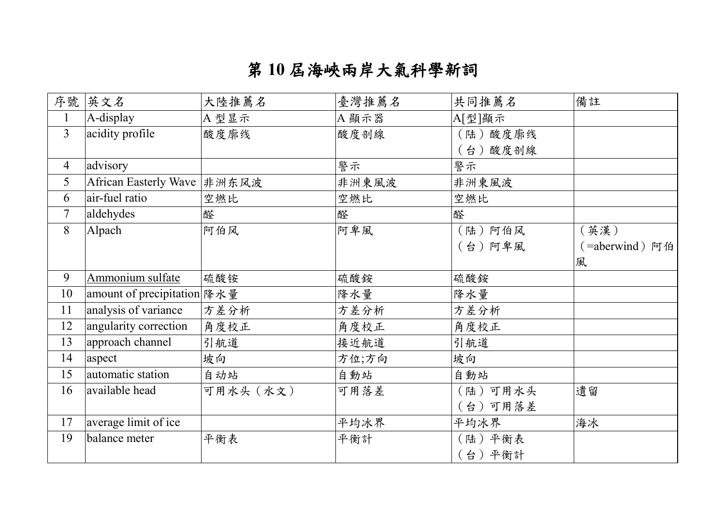## 第 **10** 屆海峽兩岸大氣科學新詞

| 序號             | 英文名                          | 大陸推薦名     | 臺灣推薦名 | 共同推薦名   | 備註             |
|----------------|------------------------------|-----------|-------|---------|----------------|
| $\mathbf{1}$   | A-display                    | A型显示      | A 顯示器 | A[型]顯示  |                |
| $\overline{3}$ | acidity profile              | 酸度廓线      | 酸度剖線  | (陆)酸度廓线 |                |
|                |                              |           |       | (台)酸度剖線 |                |
| 4              | advisory                     |           | 警示    | 警示      |                |
| 5              | African Easterly Wave  非洲东风波 |           | 非洲東風波 | 非洲東風波   |                |
| 6              | air-fuel ratio               | 空燃比       | 空燃比   | 空燃比     |                |
| $\tau$         | aldehydes                    | 醛         | 醛     | 醛       |                |
| 8              | Alpach                       | 阿伯风       | 阿卑風   | (陆)阿伯风  | (英漢)           |
|                |                              |           |       | (台)阿卑風  | (=aberwind) 阿伯 |
|                |                              |           |       |         | 風              |
| 9              | Ammonium sulfate             | 硫酸铵       | 硫酸銨   | 硫酸銨     |                |
| 10             | amount of precipitation 降水量  |           | 降水量   | 降水量     |                |
| 11             | analysis of variance         | 方差分析      | 方差分析  | 方差分析    |                |
| 12             | angularity correction        | 角度校正      | 角度校正  | 角度校正    |                |
| 13             | approach channel             | 引航道       | 接近航道  | 引航道     |                |
| 14             | aspect                       | 坡向        | 方位;方向 | 坡向      |                |
| 15             | automatic station            | 自动站       | 自動站   | 自動站     |                |
| 16             | available head               | 可用水头 (水文) | 可用落差  | (陆)可用水头 | 遺留             |
|                |                              |           |       | (台)可用落差 |                |
| 17             | average limit of ice         |           | 平均冰界  | 平均冰界    | 海冰             |
| 19             | balance meter                | 平衡表       | 平衡計   | (陆) 平衡表 |                |
|                |                              |           |       | 台)平衡計   |                |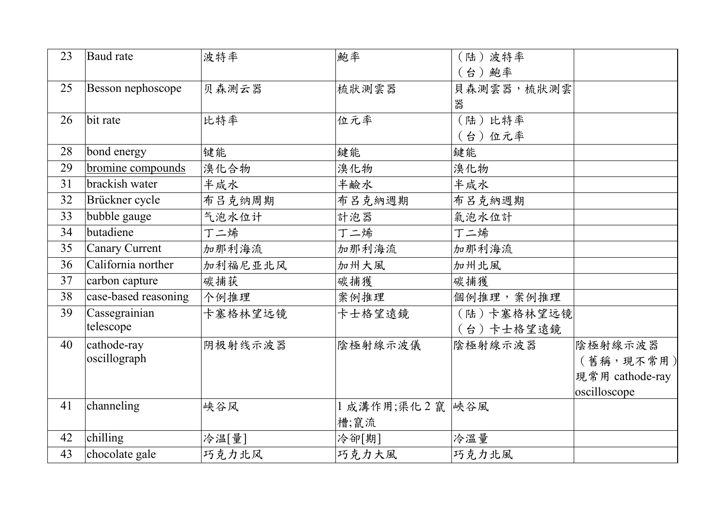| 23 | Baud rate            | 波特率     | 鮑率           | (陆)波特率     |                 |
|----|----------------------|---------|--------------|------------|-----------------|
|    |                      |         |              | (台)鮑率      |                 |
| 25 | Besson nephoscope    | 贝森测云器   | 梳狀測雲器        | 貝森測雲器,梳狀測雲 |                 |
|    |                      |         |              | 器          |                 |
| 26 | bit rate             | 比特率     | 位元率          | (陆)比特率     |                 |
|    |                      |         |              | (台)位元率     |                 |
| 28 | bond energy          | 键能      | 鍵能           | 鍵能         |                 |
| 29 | bromine compounds    | 溴化合物    | 溴化物          | 溴化物        |                 |
| 31 | brackish water       | 半咸水     | 半鹼水          | 半咸水        |                 |
| 32 | Brückner cycle       | 布吕克纳周期  | 布呂克納週期       | 布呂克納週期     |                 |
| 33 | bubble gauge         | 气泡水位计   | 計泡器          | 氣泡水位計      |                 |
| 34 | butadiene            | 丁二烯     | 丁二烯          | 丁二烯        |                 |
| 35 | Canary Current       | 加那利海流   | 加那利海流        | 加那利海流      |                 |
| 36 | California norther   | 加利福尼亚北风 | 加州大風         | 加州北風       |                 |
| 37 | carbon capture       | 碳捕获     | 碳捕獲          | 碳捕獲        |                 |
| 38 | case-based reasoning | 个例推理    | 案例推理         | 個例推理,案例推理  |                 |
| 39 | Cassegrainian        | 卡塞格林望远镜 | 卡士格望遠鏡       | (陆)卡塞格林望远镜 |                 |
|    | telescope            |         |              | (台)卡士格望遠鏡  |                 |
| 40 | cathode-ray          | 阴极射线示波器 | 陰極射線示波儀      | 陰極射線示波器    | 陰極射線示波器         |
|    | oscillograph         |         |              |            | (舊稱,現不常用)       |
|    |                      |         |              |            | 現常用 cathode-ray |
|    |                      |         |              |            | oscilloscope    |
| 41 | channeling           | 峡谷风     | 1 成溝作用;渠化2 竄 | 峽谷風        |                 |
|    |                      |         | 槽;竄流         |            |                 |
| 42 | chilling             | 冷温[量]   | 冷卻[期]        | 冷溫量        |                 |
| 43 | chocolate gale       | 巧克力北风   | 巧克力大風        | 巧克力北風      |                 |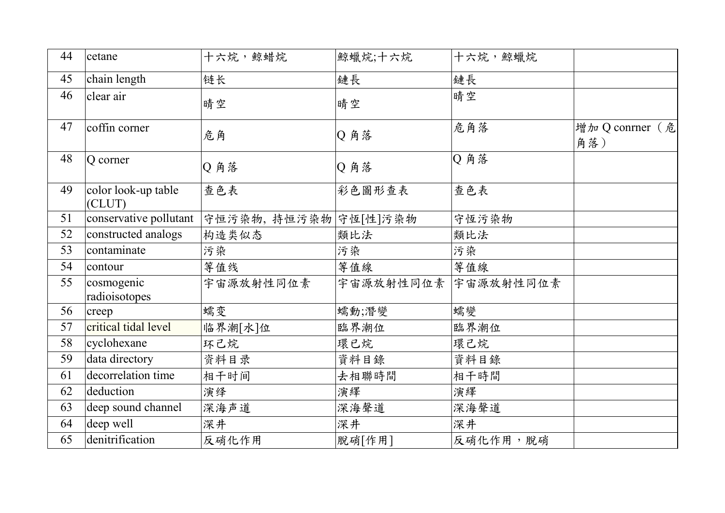| 44 | cetane                        | 十六烷,鲸蜡烷               | 鯨蠟烷;十六烷 | 十六烷,鯨蠟烷             |                        |
|----|-------------------------------|-----------------------|---------|---------------------|------------------------|
| 45 | chain length                  | 链长                    | 鏈長      | 鏈長                  |                        |
| 46 | clear air                     | 晴空                    | 晴空      | 晴空                  |                        |
| 47 | coffin corner                 | 危角                    | Q 角落    | 危角落                 | 增加 Q conrner (危<br>角落) |
| 48 | Q corner                      | Q 角落                  | Q 角落    | Q角落                 |                        |
| 49 | color look-up table<br>(CLUT) | 查色表                   | 彩色圖形查表  | 查色表                 |                        |
| 51 | conservative pollutant        | 守恒污染物, 持恒污染物 守恆[性]污染物 |         | 守恆污染物               |                        |
| 52 | constructed analogs           | 构造类似态                 | 類比法     | 類比法                 |                        |
| 53 | contaminate                   | 污染                    | 污染      | 污染                  |                        |
| 54 | contour                       | 等值线                   | 等值線     | 等值線                 |                        |
| 55 | cosmogenic<br>radioisotopes   | 宇宙源放射性同位素             |         | 宇宙源放射性同位素 宇宙源放射性同位素 |                        |
| 56 | creep                         | 蠕变                    | 蠕動;潛變   | 蠕變                  |                        |
| 57 | critical tidal level          | 临界潮[水]位               | 臨界潮位    | 臨界潮位                |                        |
| 58 | cyclohexane                   | 环己烷                   | 環已烷     | 環己烷                 |                        |
| 59 | data directory                | 资料目录                  | 資料目錄    | 資料目錄                |                        |
| 61 | decorrelation time            | 相干时间                  | 去相聯時間   | 相干時間                |                        |
| 62 | deduction                     | 演绎                    | 演繹      | 演繹                  |                        |
| 63 | deep sound channel            | 深海声道                  | 深海聲道    | 深海聲道                |                        |
| 64 | deep well                     | 深井                    | 深井      | 深井                  |                        |
| 65 | denitrification               | 反硝化作用                 | 脫硝[作用]  | 反硝化作用, 脫硝           |                        |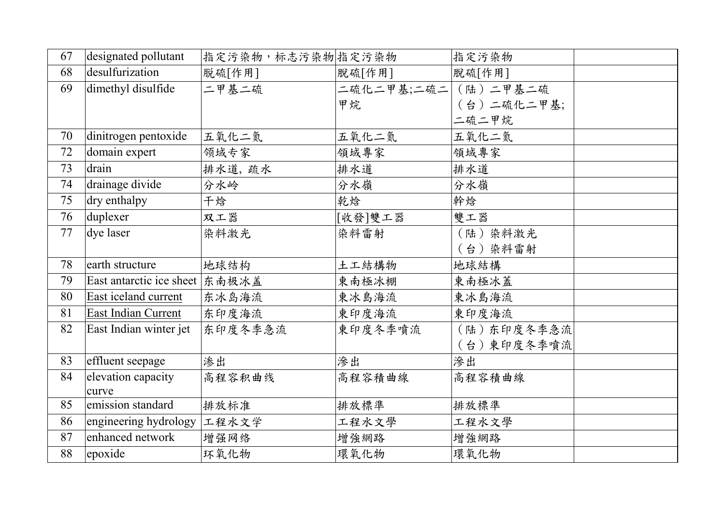| 67 | designated pollutant             | 指定污染物,标志污染物 指定污染物 |            | 指定污染物      |  |
|----|----------------------------------|-------------------|------------|------------|--|
| 68 | desulfurization                  | 脱硫[作用]            | 脫硫[作用]     | 脫硫[作用]     |  |
| 69 | dimethyl disulfide               | 二甲基二硫             | 二硫化二甲基;二硫二 | (陆)二甲基二硫   |  |
|    |                                  |                   | 甲烷         | (台)二硫化二甲基; |  |
|    |                                  |                   |            | 二硫二甲烷      |  |
| 70 | dinitrogen pentoxide             | 五氧化二氮             | 五氧化二氮      | 五氧化二氮      |  |
| 72 | domain expert                    | 领域专家              | 領域專家       | 領域專家       |  |
| 73 | drain                            | 排水道,疏水            | 排水道        | 排水道        |  |
| 74 | drainage divide                  | 分水岭               | 分水嶺        | 分水嶺        |  |
| 75 | dry enthalpy                     | 干焓                | 乾焓         | 幹焓         |  |
| 76 | duplexer                         | 双工器               | [收發]雙工器    | 雙工器        |  |
| 77 | dye laser                        | 染料激光              | 染料雷射       | (陆)染料激光    |  |
|    |                                  |                   |            | (台)染料雷射    |  |
| 78 | earth structure                  | 地球结构              | 土工結構物      | 地球結構       |  |
| 79 | East antarctic ice sheet   东南极冰盖 |                   | 東南極冰棚      | 東南極冰蓋      |  |
| 80 | East iceland current             | 东冰岛海流             | 東冰島海流      | 東冰島海流      |  |
| 81 | East Indian Current              | 东印度海流             | 東印度海流      | 東印度海流      |  |
| 82 | East Indian winter jet           | 东印度冬季急流           | 東印度冬季噴流    | (陆)东印度冬季急流 |  |
|    |                                  |                   |            | (台)東印度冬季噴流 |  |
| 83 | effluent seepage                 | 渗出                | 滲出         | 滲出         |  |
| 84 | elevation capacity               | 高程容积曲线            | 高程容積曲線     | 高程容積曲線     |  |
|    | curve                            |                   |            |            |  |
| 85 | emission standard                | 排放标准              | 排放標準       | 排放標準       |  |
| 86 | engineering hydrology 工程水文学      |                   | 工程水文學      | 工程水文學      |  |
| 87 | enhanced network                 | 增强网络              | 增強網路       | 增強網路       |  |
| 88 | epoxide                          | 环氧化物              | 環氧化物       | 環氧化物       |  |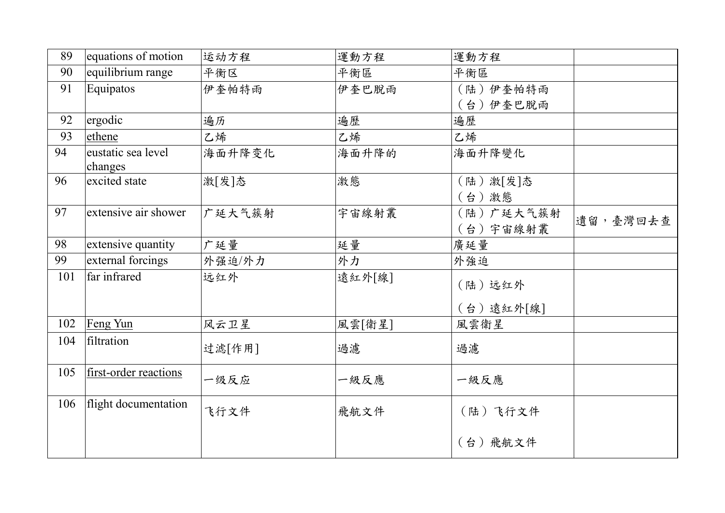| 89  |                       |        |        |           |          |
|-----|-----------------------|--------|--------|-----------|----------|
|     | equations of motion   | 运动方程   | 運動方程   | 運動方程      |          |
| 90  | equilibrium range     | 平衡区    | 平衡區    | 平衡區       |          |
| 91  | Equipatos             | 伊奎帕特雨  | 伊奎巴脱雨  | (陆)伊奎帕特雨  |          |
|     |                       |        |        | (台)伊奎巴脫雨  |          |
| 92  | ergodic               | 遍历     | 遍歷     | 遍歷        |          |
| 93  | ethene                | 乙烯     | 乙烯     | 乙烯        |          |
| 94  | eustatic sea level    | 海面升降变化 | 海面升降的  | 海面升降變化    |          |
|     | changes               |        |        |           |          |
| 96  | excited state         | 激[发]态  | 激態     | (陆) 激[发]态 |          |
|     |                       |        |        | (台)激態     |          |
| 97  | extensive air shower  | 广延大气簇射 | 宇宙線射叢  | (陆)广延大气簇射 |          |
|     |                       |        |        | (台)宇宙線射叢  | 遺留,臺灣回去查 |
| 98  | extensive quantity    | 广延量    | 延量     | 廣延量       |          |
| 99  | external forcings     | 外强迫/外力 | 外力     | 外強迫       |          |
| 101 | far infrared          | 远红外    | 遠紅外[線] | (陆)远红外    |          |
|     |                       |        |        |           |          |
|     |                       |        |        | (台)遠紅外[線] |          |
| 102 | Feng Yun              | 风云卫星   | 風雲[衛星] | 風雲衛星      |          |
| 104 | filtration            |        |        |           |          |
|     |                       | 过滤[作用] | 過濾     | 過濾        |          |
| 105 | first-order reactions |        |        |           |          |
|     |                       | 一级反应   | 一級反應   | 一級反應      |          |
| 106 | flight documentation  |        |        |           |          |
|     |                       | 飞行文件   | 飛航文件   | (陆)飞行文件   |          |
|     |                       |        |        |           |          |
|     |                       |        |        | (台)飛航文件   |          |
|     |                       |        |        |           |          |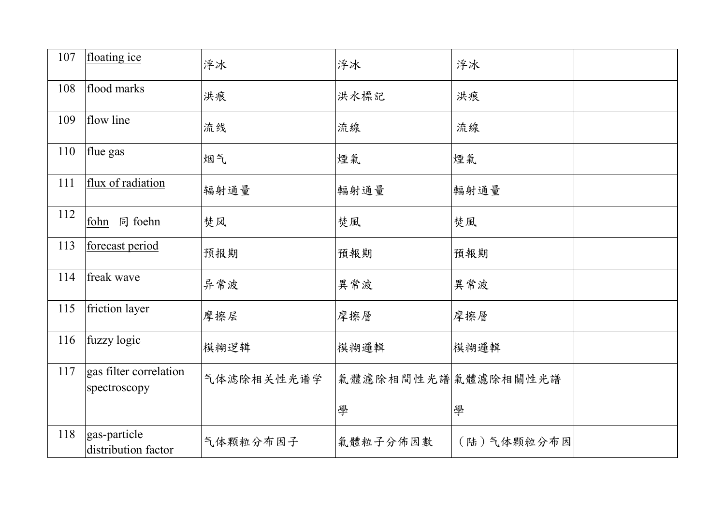| 107 | floating ice                           | 浮冰         | 浮冰                 | 浮冰         |  |
|-----|----------------------------------------|------------|--------------------|------------|--|
| 108 | flood marks                            | 洪痕         | 洪水標記               | 洪痕         |  |
| 109 | flow line                              | 流线         | 流線                 | 流線         |  |
| 110 | flue gas                               | 烟气         | 煙氣                 | 煙氣         |  |
| 111 | flux of radiation                      | 辐射通量       | 輻射通量               | 輻射通量       |  |
| 112 | fohn 同 foehn                           | 焚风         | 焚風                 | 焚風         |  |
| 113 | forecast period                        | 预报期        | 預報期                | 預報期        |  |
| 114 | freak wave                             | 异常波        | 異常波                | 異常波        |  |
| 115 | friction layer                         | 摩擦层        | 摩擦層                | 摩擦層        |  |
| 116 | fuzzy logic                            | 模糊逻辑       | 模糊邏輯               | 模糊邏輯       |  |
| 117 | gas filter correlation<br>spectroscopy | 气体滤除相关性光谱学 | 氣體濾除相間性光譜氣體濾除相關性光譜 |            |  |
|     |                                        |            | 學                  | 學          |  |
| 118 | gas-particle<br>distribution factor    | 气体颗粒分布因子   | 氣體粒子分佈因數           | (陆)气体颗粒分布因 |  |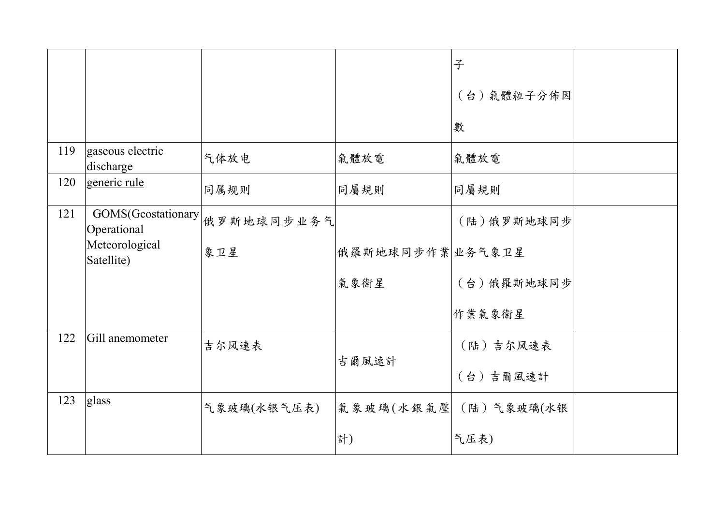|     |                                   |             |                 | 子                    |  |
|-----|-----------------------------------|-------------|-----------------|----------------------|--|
|     |                                   |             |                 | (台)氣體粒子分佈因           |  |
|     |                                   |             |                 | 數                    |  |
| 119 | gaseous electric<br>discharge     | 气体放电        | 氣體放電            | 氣體放電                 |  |
| 120 | generic rule                      | 同属规则        | 同屬規則            | 同屬規則                 |  |
| 121 | GOMS(Geostationary<br>Operational | 俄罗斯地球同步业务气  |                 | (陆)俄罗斯地球同步           |  |
|     | Meteorological<br>Satellite)      | 象卫星         | 俄羅斯地球同步作業业务气象卫星 |                      |  |
|     |                                   |             | 氣象衛星            | (台)俄羅斯地球同步           |  |
|     |                                   |             |                 | 作業氣象衛星               |  |
| 122 | Gill anemometer                   | 吉尔风速表       |                 | (陆) 吉尔风速表            |  |
|     |                                   |             | 吉爾風速計           | (台)吉爾風速計             |  |
| 123 | glass                             | 气象玻璃(水银气压表) |                 | 氣象玻璃(水銀氣壓 (陆)气象玻璃(水银 |  |
|     |                                   |             | 計)              | 气压表)                 |  |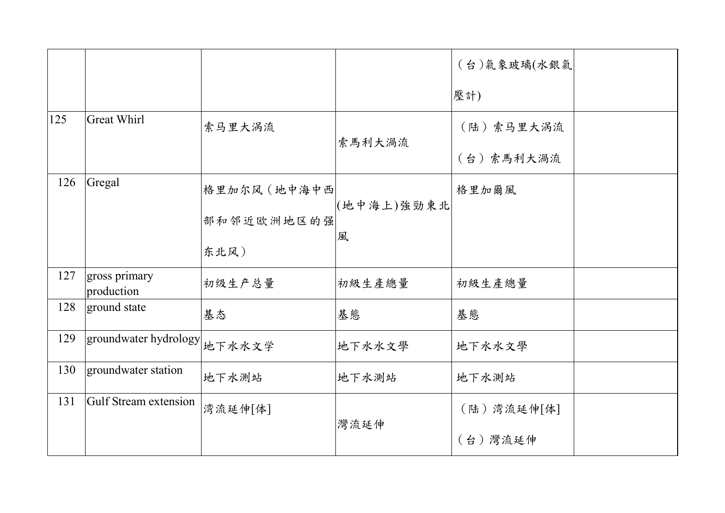|     |                              |              |            | (台)氣象玻璃(水銀氣 |  |
|-----|------------------------------|--------------|------------|-------------|--|
|     |                              |              |            | 壓計)         |  |
| 125 | <b>Great Whirl</b>           | 索马里大涡流       |            | (陆)索马里大涡流   |  |
|     |                              |              | 索馬利大渦流     | (台)索馬利大渦流   |  |
| 126 | Gregal                       | 格里加尔风 (地中海中西 |            | 格里加爾風       |  |
|     |                              | 部和邻近欧洲地区的强   | (地中海上)強勁東北 |             |  |
|     |                              | 东北风)         | 風          |             |  |
| 127 | gross primary<br>production  | 初级生产总量       | 初級生產總量     | 初級生產總量      |  |
| 128 | ground state                 | 基态           | 基態         | 基態          |  |
| 129 | groundwater hydrology 地下水水文学 |              | 地下水水文學     | 地下水水文學      |  |
| 130 | groundwater station          | 地下水测站        | 地下水測站      | 地下水測站       |  |
| 131 | Gulf Stream extension        | 湾流延伸[体]      |            | (陆)湾流延伸[体]  |  |
|     |                              |              | 灣流延伸       | (台)灣流延伸     |  |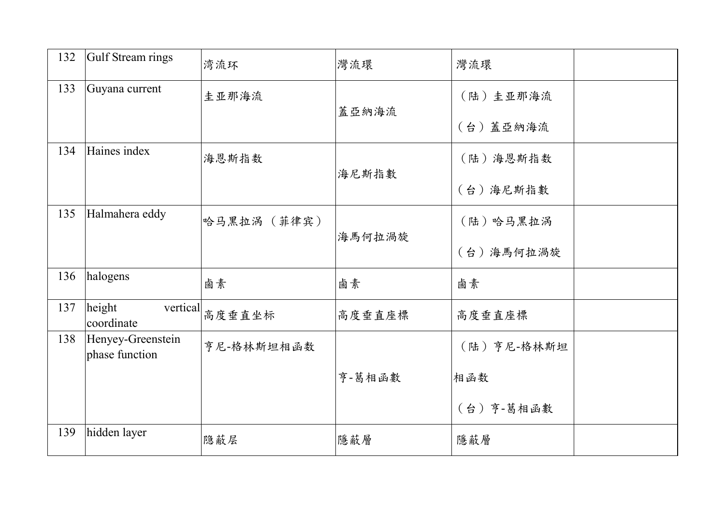| 132 | Gulf Stream rings                   | 湾流环         | 灣流環    | 灣流環        |  |
|-----|-------------------------------------|-------------|--------|------------|--|
| 133 | Guyana current                      | 圭亚那海流       |        | (陆) 圭亚那海流  |  |
|     |                                     |             | 蓋亞納海流  | (台)蓋亞納海流   |  |
| 134 | Haines index                        | 海恩斯指数       |        | (陆)海恩斯指数   |  |
|     |                                     |             | 海尼斯指數  | (台)海尼斯指數   |  |
| 135 | Halmahera eddy                      | 哈马黑拉涡 (菲律宾) |        | (陆)哈马黑拉涡   |  |
|     |                                     |             | 海馬何拉渦旋 | (台)海馬何拉渦旋  |  |
| 136 | halogens                            | 鹵素          | 鹵素     | 鹵素         |  |
| 137 | height<br>vertical<br>coordinate    | 高度垂直坐标      | 高度垂直座標 | 高度垂直座標     |  |
| 138 | Henyey-Greenstein<br>phase function | 亨尼-格林斯坦相函数  |        | (陆)亨尼-格林斯坦 |  |
|     |                                     |             | 亨-葛相函數 | 相函数        |  |
|     |                                     |             |        | (台)亨-葛相函數  |  |
| 139 | hidden layer                        | 隐蔽层         | 隱蔽層    | 隱蔽層        |  |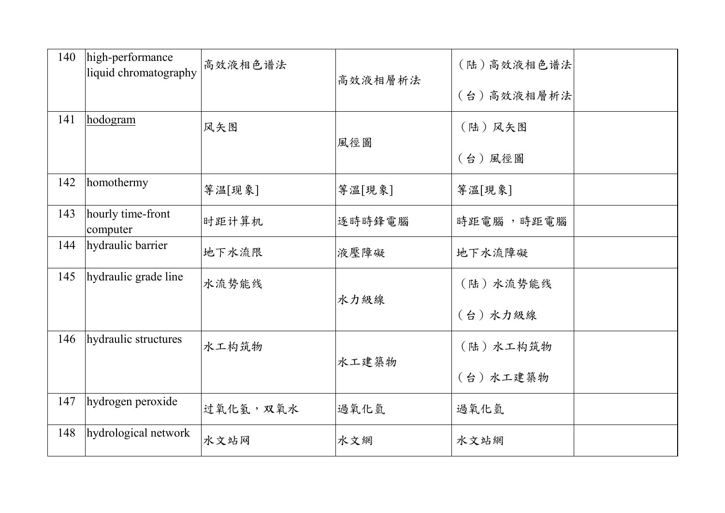| 140 | high-performance<br>liquid chromatography | 高效液相色谱法  | 高效液相層析法 | (陆)高效液相色谱法<br>(台)高效液相層析法 |  |
|-----|-------------------------------------------|----------|---------|--------------------------|--|
| 141 | hodogram                                  | 风矢图      | 風徑圖     | (陆)风矢图<br>(台)風徑圖         |  |
| 142 | homothermy                                | 等温[现象]   | 等溫[現象]  | 等溫[現象]                   |  |
| 143 | hourly time-front<br>computer             | 时距计算机    | 逐時時鋒電腦  | 時距電腦,時距電腦                |  |
| 144 | hydraulic barrier                         | 地下水流限    | 液壓障礙    | 地下水流障礙                   |  |
| 145 | hydraulic grade line                      | 水流势能线    | 水力級線    | (陆)水流势能线<br>(台)水力級線      |  |
| 146 | hydraulic structures                      | 水工构筑物    | 水工建築物   | (陆)水工构筑物<br>(台)水工建築物     |  |
| 147 | hydrogen peroxide                         | 过氧化氢,双氧水 | 過氧化氫    | 過氧化氫                     |  |
| 148 | hydrological network                      | 水文站网     | 水文網     | 水文站網                     |  |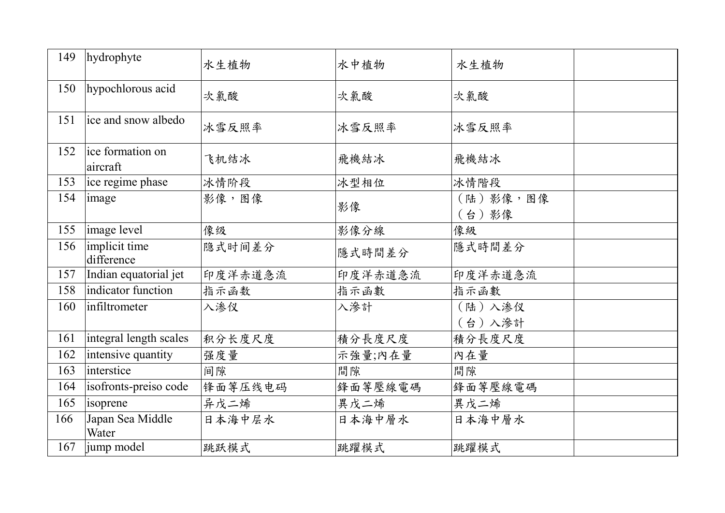| 149 | hydrophyte                   | 水生植物    | 水中植物    | 水生植物              |  |
|-----|------------------------------|---------|---------|-------------------|--|
| 150 | hypochlorous acid            | 次氯酸     | 次氯酸     | 次氯酸               |  |
| 151 | ice and snow albedo          | 冰雪反照率   | 冰雪反照率   | 冰雪反照率             |  |
| 152 | ice formation on<br>aircraft | 飞机结冰    | 飛機結冰    | 飛機結冰              |  |
| 153 | ice regime phase             | 冰情阶段    | 冰型相位    | 冰情階段              |  |
| 154 | image                        | 影像,图像   | 影像      | (陆)影像,图像<br>(台)影像 |  |
| 155 | image level                  | 像级      | 影像分線    | 像級                |  |
| 156 | implicit time<br>difference  | 隐式时间差分  | 隱式時間差分  | 隱式時間差分            |  |
| 157 | Indian equatorial jet        | 印度洋赤道急流 | 印度洋赤道急流 | 印度洋赤道急流           |  |
| 158 | indicator function           | 指示函数    | 指示函數    | 指示函數              |  |
| 160 | infiltrometer                | 入渗仪     | 入滲計     | (陆)入渗仪            |  |
|     |                              |         |         | (台)入滲計            |  |
| 161 | integral length scales       | 积分长度尺度  | 積分長度尺度  | 積分長度尺度            |  |
| 162 | intensive quantity           | 强度量     | 示強量;內在量 | 內在量               |  |
| 163 | interstice                   | 间隙      | 間隙      | 間隙                |  |
| 164 | isofronts-preiso code        | 锋面等压线电码 | 鋒面等壓線電碼 | 鋒面等壓線電碼           |  |
| 165 | isoprene                     | 异戊二烯    | 異戊二烯    | 異戊二烯              |  |
| 166 | Japan Sea Middle<br>Water    | 日本海中层水  | 日本海中層水  | 日本海中層水            |  |
| 167 | jump model                   | 跳跃模式    | 跳躍模式    | 跳躍模式              |  |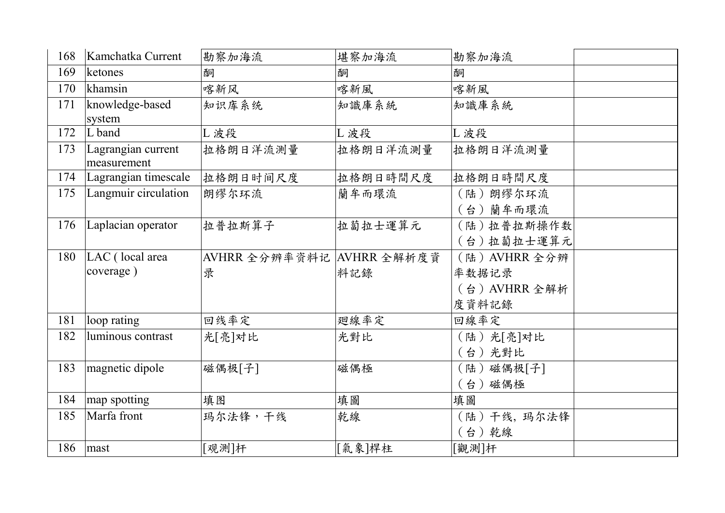| 168 | Kamchatka Current                 | 勘察加海流                       | 堪察加海流    | 勘察加海流         |  |
|-----|-----------------------------------|-----------------------------|----------|---------------|--|
| 169 | ketones                           | 酮                           | 酮        | 酮             |  |
| 170 | khamsin                           | 喀新风                         | 喀新風      | 喀新風           |  |
| 171 | knowledge-based<br>system         | 知识库系统                       | 知識庫系統    | 知識庫系統         |  |
| 172 | L band                            | L 波段                        | L 波段     | L 波段          |  |
| 173 | Lagrangian current<br>measurement | 拉格朗日洋流测量                    | 拉格朗日洋流測量 | 拉格朗日洋流測量      |  |
| 174 | Lagrangian timescale              | 拉格朗日时间尺度                    | 拉格朗日時間尺度 | 拉格朗日時間尺度      |  |
| 175 | Langmuir circulation              | 朗缪尔环流                       | 蘭牟而環流    | (陆)朗缪尔环流      |  |
|     |                                   |                             |          | (台)蘭牟而環流      |  |
| 176 | Laplacian operator                | 拉普拉斯算子                      | 拉蔔拉士運算元  | (陆)拉普拉斯操作数    |  |
|     |                                   |                             |          | (台)拉蔔拉士運算元    |  |
| 180 | LAC (local area                   | AVHRR 全分辨率资料记   AVHRR 全解析度資 |          | (陆) AVHRR 全分辨 |  |
|     | coverage)                         | 录                           | 料記錄      | 率数据记录         |  |
|     |                                   |                             |          | (台) AVHRR 全解析 |  |
|     |                                   |                             |          | 度資料記錄         |  |
| 181 | loop rating                       | 回线率定                        | 廻線率定     | 回線率定          |  |
| 182 | luminous contrast                 | 光[亮]对比                      | 光對比      | (陆) 光[亮]对比    |  |
|     |                                   |                             |          | (台)光對比        |  |
| 183 | magnetic dipole                   | 磁偶极[子]                      | 磁偶極      | (陆)磁偶极[子]     |  |
|     |                                   |                             |          | (台)磁偶極        |  |
| 184 | map spotting                      | 填图                          | 填圖       | 填圖            |  |
| 185 | Marfa front                       | 玛尔法锋,干线                     | 乾線       | (陆)干线, 玛尔法锋   |  |
|     |                                   |                             |          | (台)乾線         |  |
| 186 | mast                              | [观测]杆                       | [氣象]桿柱   | [觀測]杆         |  |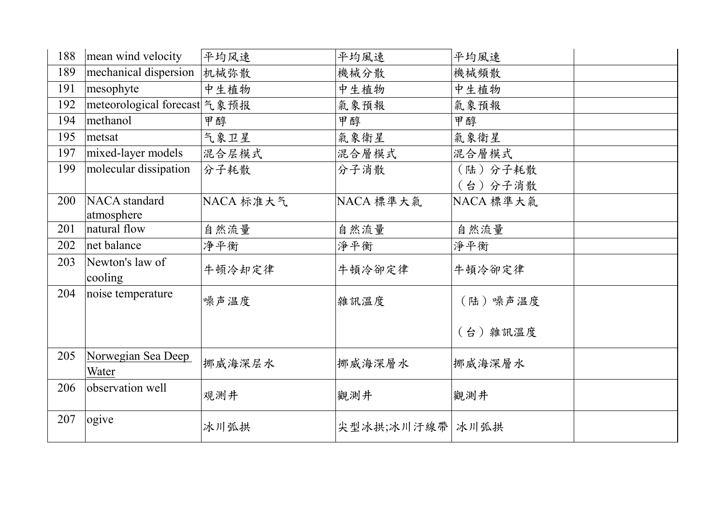| 188 | mean wind velocity                 | 平均风速      | 平均風速            | 平均風速      |  |
|-----|------------------------------------|-----------|-----------------|-----------|--|
| 189 | mechanical dispersion              | 机械弥散      | 機械分散            | 機械頻散      |  |
| 191 | mesophyte                          | 中生植物      | 中生植物            | 中生植物      |  |
| 192 | meteorological forecast 气象预报       |           | 氣象預報            | 氣象預報      |  |
| 194 | methanol                           | 甲醇        | 甲醇              | 甲醇        |  |
| 195 | metsat                             | 气象卫星      | 氣象衛星            | 氣象衛星      |  |
| 197 | mixed-layer models                 | 混合层模式     | 混合層模式           | 混合層模式     |  |
| 199 | molecular dissipation              | 分子耗散      | 分子消散            | (陆)分子耗散   |  |
|     |                                    |           |                 | (台)分子消散   |  |
| 200 | NACA standard                      | NACA 标准大气 | NACA 標準大氣       | NACA 標準大氣 |  |
|     | atmosphere                         |           |                 |           |  |
| 201 | natural flow                       | 自然流量      | 自然流量            | 自然流量      |  |
| 202 | net balance                        | 净平衡       | 淨平衡             | 淨平衡       |  |
| 203 | Newton's law of<br>cooling         | 牛顿冷却定律    | 牛頓冷卻定律          | 牛頓冷卻定律    |  |
| 204 | noise temperature                  | 噪声温度      | 雜訊溫度            | (陆) 噪声温度  |  |
|     |                                    |           |                 | (台) 雜訊溫度  |  |
| 205 | Norwegian Sea Deep<br><u>Water</u> | 挪威海深层水    | 挪威海深層水          | 挪威海深層水    |  |
| 206 | observation well                   | 观测井       | 觀測井             | 觀測井       |  |
| 207 | ogive                              | 冰川弧拱      | 尖型冰拱;冰川汙線帶 冰川弧拱 |           |  |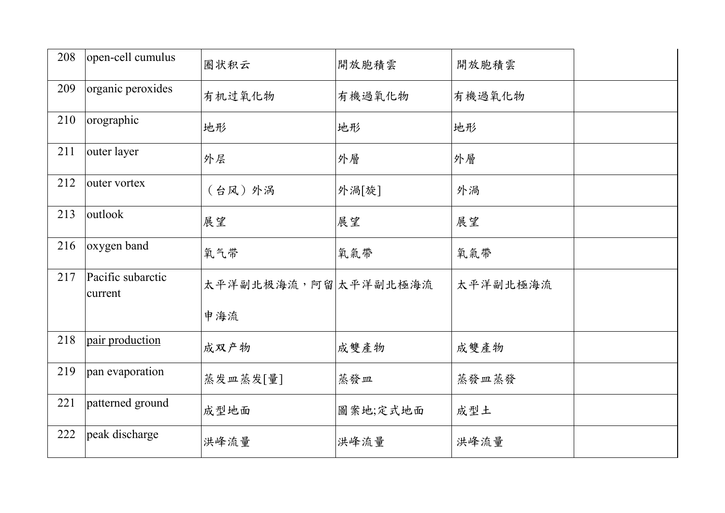| 208 | open-cell cumulus            | 圈状积云                  | 開放胞積雲    | 開放胞積雲    |  |
|-----|------------------------------|-----------------------|----------|----------|--|
| 209 | organic peroxides            | 有机过氧化物                | 有機過氧化物   | 有機過氧化物   |  |
| 210 | orographic                   | 地形                    | 地形       | 地形       |  |
| 211 | outer layer                  | 外层                    | 外層       | 外層       |  |
| 212 | outer vortex                 | (台风)外涡                | 外渦[旋]    | 外渦       |  |
| 213 | outlook                      | 展望                    | 展望       | 展望       |  |
| 216 | oxygen band                  | 氧气带                   | 氧氣帶      | 氧氣帶      |  |
| 217 | Pacific subarctic<br>current | 太平洋副北极海流, 阿留 太平洋副北極海流 |          | 太平洋副北極海流 |  |
|     |                              | 申海流                   |          |          |  |
| 218 | pair production              | 成双产物                  | 成雙產物     | 成雙產物     |  |
| 219 | pan evaporation              | 蒸发皿蒸发[量]              | 蒸發皿      | 蒸發皿蒸發    |  |
| 221 | patterned ground             | 成型地面                  | 圖案地;定式地面 | 成型土      |  |
| 222 | peak discharge               | 洪峰流量                  | 洪峰流量     | 洪峰流量     |  |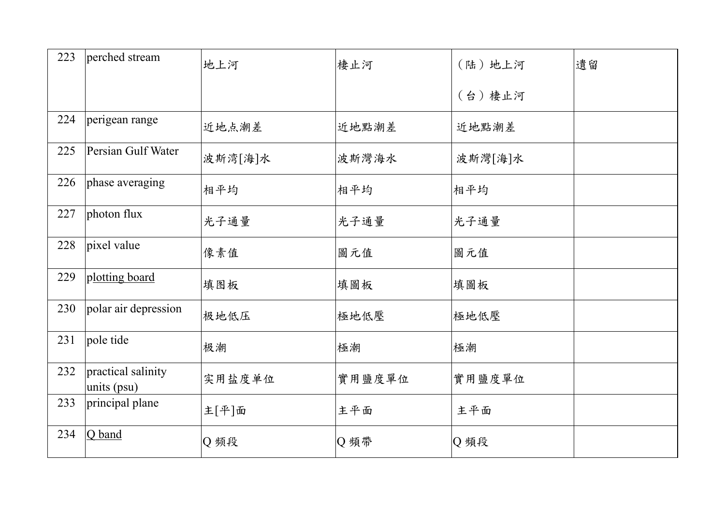| 223 | perched stream                    | 地上河     | 棲止河    | (陆)地上河  | 遺留 |
|-----|-----------------------------------|---------|--------|---------|----|
|     |                                   |         |        | (台)棲止河  |    |
| 224 | perigean range                    | 近地点潮差   | 近地點潮差  | 近地點潮差   |    |
| 225 | Persian Gulf Water                | 波斯湾[海]水 | 波斯灣海水  | 波斯灣[海]水 |    |
| 226 | phase averaging                   | 相平均     | 相平均    | 相平均     |    |
| 227 | photon flux                       | 光子通量    | 光子通量   | 光子通量    |    |
| 228 | pixel value                       | 像素值     | 圖元值    | 圖元值     |    |
| 229 | plotting board                    | 填图板     | 填圖板    | 填圖板     |    |
| 230 | polar air depression              | 极地低压    | 極地低壓   | 極地低壓    |    |
| 231 | pole tide                         | 极潮      | 極潮     | 極潮      |    |
| 232 | practical salinity<br>units (psu) | 实用盐度单位  | 實用鹽度單位 | 實用鹽度單位  |    |
| 233 | principal plane                   | 主[平]面   | 主平面    | 主平面     |    |
| 234 | Q band                            | Q频段     | Q頻帶    | Q頻段     |    |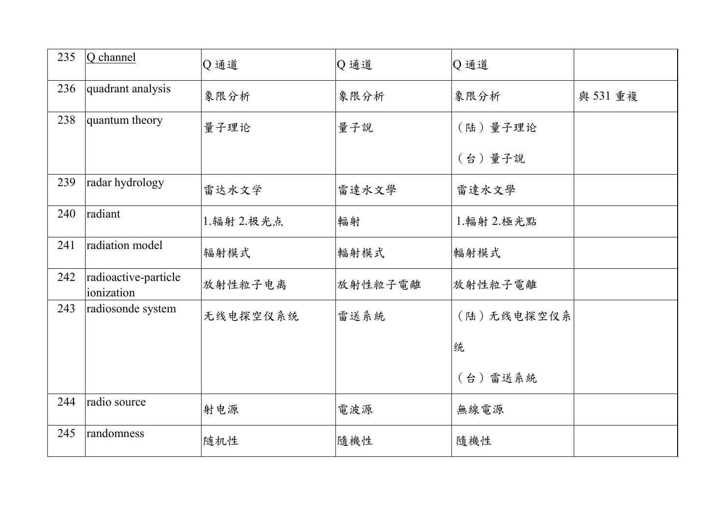| 235 | Q channel                          | Q通道        | Q通道     | Q通道          |          |
|-----|------------------------------------|------------|---------|--------------|----------|
| 236 | quadrant analysis                  | 象限分析       | 象限分析    | 象限分析         | 與 531 重複 |
| 238 | quantum theory                     | 量子理论       | 量子說     | (陆)量子理论      |          |
|     |                                    |            |         | (台)量子說       |          |
| 239 | radar hydrology                    | 雷达水文学      | 雷達水文學   | 雷達水文學        |          |
| 240 | radiant                            | 1.辐射 2.极光点 | 輻射      | 1. 輻射 2. 極光點 |          |
| 241 | radiation model                    | 辐射模式       | 輻射模式    | 輻射模式         |          |
| 242 | radioactive-particle<br>ionization | 放射性粒子电离    | 放射性粒子電離 | 放射性粒子電離      |          |
| 243 | radiosonde system                  | 无线电探空仪系统   | 雷送系統    | (陆)无线电探空仪系   |          |
|     |                                    |            |         | 统            |          |
|     |                                    |            |         | (台)雷送系統      |          |
| 244 | radio source                       | 射电源        | 電波源     | 無線電源         |          |
| 245 | randomness                         | 随机性        | 隨機性     | 隨機性          |          |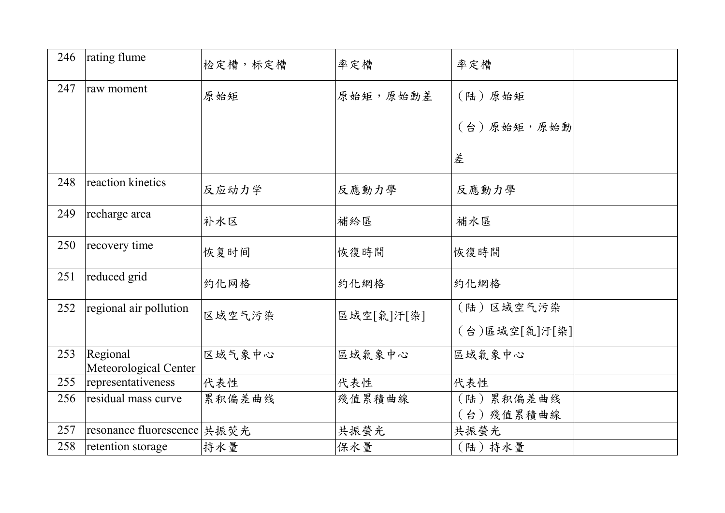| 246 | rating flume                      | 检定槽,标定槽 | 率定槽        | 率定槽           |  |
|-----|-----------------------------------|---------|------------|---------------|--|
| 247 | raw moment                        | 原始矩     | 原始矩,原始動差   | (陆)原始矩        |  |
|     |                                   |         |            | (台)原始矩,原始動    |  |
|     |                                   |         |            | 差             |  |
| 248 | reaction kinetics                 | 反应动力学   | 反應動力學      | 反應動力學         |  |
| 249 | recharge area                     | 补水区     | 補給區        | 補水區           |  |
| 250 | recovery time                     | 恢复时间    | 恢復時間       | 恢復時間          |  |
| 251 | reduced grid                      | 约化网格    | 約化網格       | 約化網格          |  |
| 252 | regional air pollution            | 区域空气污染  | 區域空[氣]汗[染] | (陆)区域空气污染     |  |
|     |                                   |         |            | (台)區域空[氣]汙[染] |  |
| 253 | Regional<br>Meteorological Center | 区域气象中心  | 區域氣象中心     | 區域氣象中心        |  |
| 255 | representativeness                | 代表性     | 代表性        | 代表性           |  |
| 256 | residual mass curve               | 累积偏差曲线  | 殘值累積曲線     | (陆)累积偏差曲线     |  |
|     |                                   |         |            | (台)殘值累積曲線     |  |
| 257 | resonance fluorescence   共振荧光     |         | 共振螢光       | 共振螢光          |  |
| 258 | retention storage                 | 持水量     | 保水量        | (陆)持水量        |  |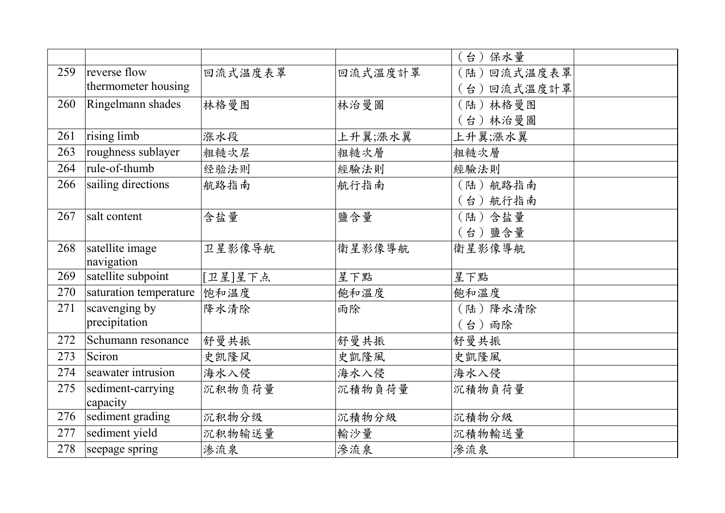|     |                        |         |         | (台)保水量     |
|-----|------------------------|---------|---------|------------|
| 259 | reverse flow           | 回流式温度表罩 | 回流式溫度計罩 | (陆)回流式温度表罩 |
|     | thermometer housing    |         |         | (台)回流式溫度計罩 |
| 260 | Ringelmann shades      | 林格曼图    | 林治曼圖    | (陆)林格曼图    |
|     |                        |         |         | (台)林治曼圖    |
| 261 | rising limb            | 涨水段     | 上升翼;漲水翼 | 上升翼;漲水翼    |
| 263 | roughness sublayer     | 粗糙次层    | 粗糙次層    | 粗糙次層       |
| 264 | rule-of-thumb          | 经验法则    | 經驗法則    | 經驗法則       |
| 266 | sailing directions     | 航路指南    | 航行指南    | (陆) 航路指南   |
|     |                        |         |         | (台) 航行指南   |
| 267 | salt content           | 含盐量     | 鹽含量     | (陆)含盐量     |
|     |                        |         |         | (台)鹽含量     |
| 268 | satellite image        | 卫星影像导航  | 衛星影像導航  | 衛星影像導航     |
|     | navigation             |         |         |            |
| 269 | satellite subpoint     | [卫星]星下点 | 星下點     | 星下點        |
| 270 | saturation temperature | 饱和温度    | 飽和溫度    | 飽和溫度       |
| 271 | scavenging by          | 降水清除    | 雨除      | (陆)降水清除    |
|     | precipitation          |         |         | (台)雨除      |
| 272 | Schumann resonance     | 舒曼共振    | 舒曼共振    | 舒曼共振       |
| 273 | Sciron                 | 史凯隆风    | 史凱隆風    | 史凱隆風       |
| 274 | seawater intrusion     | 海水入侵    | 海水入侵    | 海水入侵       |
| 275 | sediment-carrying      | 沉积物负荷量  | 沉積物負荷量  | 沉積物負荷量     |
|     | capacity               |         |         |            |
| 276 | sediment grading       | 沉积物分级   | 沉積物分級   | 沉積物分級      |
| 277 | sediment yield         | 沉积物输送量  | 輸沙量     | 沉積物輸送量     |
| 278 | seepage spring         | 渗流泉     | 渗流泉     | 滲流泉        |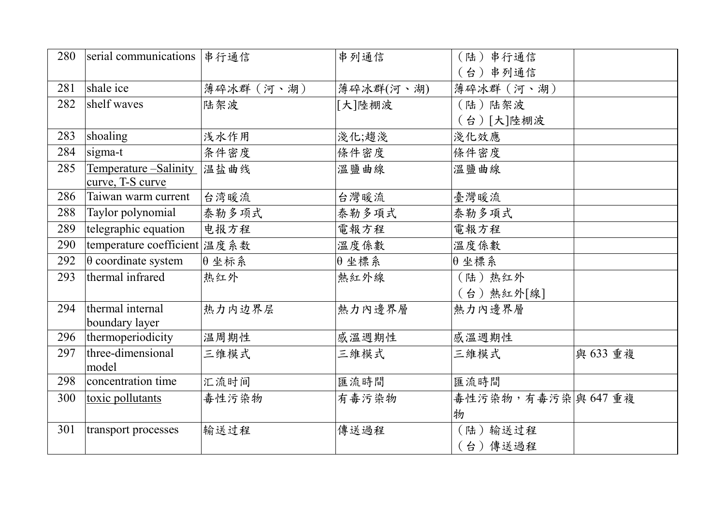| 280 | serial communications 串行通信   |              | 串列通信         | (陆)串行通信<br>(台)串列通信 |          |
|-----|------------------------------|--------------|--------------|--------------------|----------|
| 281 | shale ice                    | 薄碎冰群 (河、湖)   | 薄碎冰群(河、湖)    | 薄碎冰群 (河、湖)         |          |
| 282 | shelf waves                  | 陆架波          | [大]陸棚波       | (陆)陆架波             |          |
|     |                              |              |              | (台)[大]陸棚波          |          |
| 283 | shoaling                     | 浅水作用         | 淺化;趨淺        | 淺化效應               |          |
|     |                              |              |              |                    |          |
| 284 | sigma-t                      | 条件密度         | 條件密度         | 條件密度               |          |
| 285 | Temperature – Salinity       | 温盐曲线         | 溫鹽曲線         | 溫鹽曲線               |          |
|     | curve, T-S curve             |              |              |                    |          |
| 286 | Taiwan warm current          | 台湾暖流         | 台灣暖流         | 臺灣暖流               |          |
| 288 | Taylor polynomial            | 泰勒多项式        | 泰勒多項式        | 泰勒多項式              |          |
| 289 | telegraphic equation         | 电报方程         | 電報方程         | 電報方程               |          |
| 290 | temperature coefficient 温度系数 |              | 溫度係數         | 溫度係數               |          |
| 292 | $\theta$ coordinate system   | $\theta$ 坐标系 | $\theta$ 坐標系 | $\theta$ 坐標系       |          |
| 293 | thermal infrared             | 热红外          | 熱紅外線         | (陆)热红外             |          |
|     |                              |              |              | (台)熱紅外[線]          |          |
| 294 | thermal internal             | 热力内边界层       | 熱力內邊界層       | 熱力內邊界層             |          |
|     | boundary layer               |              |              |                    |          |
| 296 | thermoperiodicity            | 温周期性         | 感溫週期性        | 感溫週期性              |          |
| 297 | three-dimensional            | 三维模式         | 三維模式         | 三維模式               | 與 633 重複 |
|     | model                        |              |              |                    |          |
| 298 | concentration time           | 汇流时间         | 匯流時間         | 匯流時間               |          |
| 300 | toxic pollutants             | 毒性污染物        | 有毒污染物        | 毒性污染物,有毒污染奥 647重複  |          |
|     |                              |              |              | 物                  |          |
| 301 | transport processes          | 输送过程         | 傳送過程         | (陆) 输送过程           |          |
|     |                              |              |              | (台)傳送過程            |          |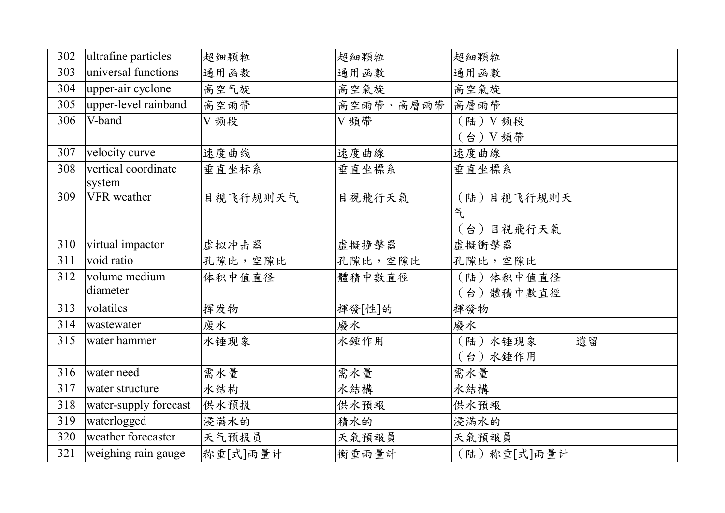| 302 | ultrafine particles   | 超细颗粒     | 超細顆粒           | 超細顆粒         |    |
|-----|-----------------------|----------|----------------|--------------|----|
| 303 | universal functions   | 通用函数     | 通用函數           | 通用函數         |    |
| 304 | upper-air cyclone     | 高空气旋     | 高空氣旋           | 高空氣旋         |    |
| 305 | upper-level rainband  | 高空雨带     | 高空雨帶、高層雨帶 高層雨帶 |              |    |
| 306 | V-band                | V频段      | V 頻帶           | (陆) V 频段     |    |
|     |                       |          |                | (台) V 頻帶     |    |
| 307 | velocity curve        | 速度曲线     | 速度曲線           | 速度曲線         |    |
| 308 | vertical coordinate   | 垂直坐标系    | 垂直坐標系          | 垂直坐標系        |    |
|     | system                |          |                |              |    |
| 309 | VFR weather           | 目视飞行规则天气 | 目視飛行天氣         | (陆)目视飞行规则天   |    |
|     |                       |          |                | 气            |    |
|     |                       |          |                | (台)目視飛行天氣    |    |
| 310 | virtual impactor      | 虚拟冲击器    | 虛擬撞擊器          | 虛擬衝擊器        |    |
| 311 | void ratio            | 孔隙比,空隙比  | 孔隙比,空隙比        | 孔隙比,空隙比      |    |
| 312 | volume medium         | 体积中值直径   | 體積中數直徑         | (陆)体积中值直径    |    |
|     | diameter              |          |                | (台)體積中數直徑    |    |
| 313 | volatiles             | 挥发物      | 揮發[性]的         | 揮發物          |    |
| 314 | wastewater            | 废水       | 廢水             | 廢水           |    |
| 315 | water hammer          | 水锤现象     | 水錘作用           | (陆)水锤现象      | 遺留 |
|     |                       |          |                | (台)水錘作用      |    |
| 316 | water need            | 需水量      | 需水量            | 需水量          |    |
| 317 | water structure       | 水结构      | 水結構            | 水結構          |    |
| 318 | water-supply forecast | 供水预报     | 供水預報           | 供水預報         |    |
| 319 | waterlogged           | 浸满水的     | 積水的            | 浸滿水的         |    |
| 320 | weather forecaster    | 天气预报员    | 天氣預報員          | 天氣預報員        |    |
| 321 | weighing rain gauge   | 称重[式]雨量计 | 衡重雨量計          | (陆) 称重[式]雨量计 |    |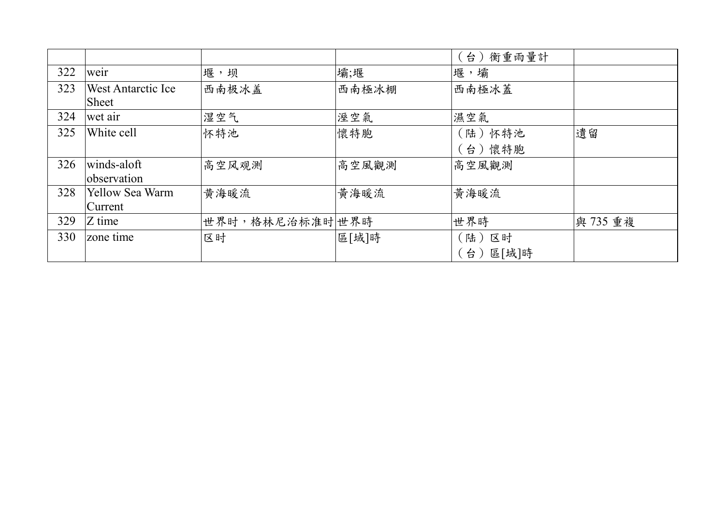|     |                                           |                 |       | 衡重雨量計<br>台)               |          |
|-----|-------------------------------------------|-----------------|-------|---------------------------|----------|
| 322 | weir                                      | 堰,坝             | 壩;堰   | 堰,壩                       |          |
| 323 | <b>West Antarctic Ice</b><br><b>Sheet</b> | 西南极冰盖           | 西南極冰棚 | 西南極冰蓋                     |          |
| 324 | wet air                                   | 湿空气             | 溼空氣   | 濕空氣                       |          |
| 325 | White cell                                | 怀特池             | 懷特胞   | (陆)怀特池<br>台)懷特胞           | 遺留       |
| 326 | winds-aloft<br>observation                | 高空风观测           | 高空風觀測 | 高空風觀測                     |          |
| 328 | <b>Yellow Sea Warm</b><br>Current         | 黄海暖流            | 黄海暖流  | 黃海暖流                      |          |
| 329 | Z time                                    | 世界时,格林尼治标准时 世界時 |       | 世界時                       | 與 735 重複 |
| 330 | zone time                                 | 区时              | 區[域]時 | 区时<br>〔陆 )<br>區[域]時<br>台) |          |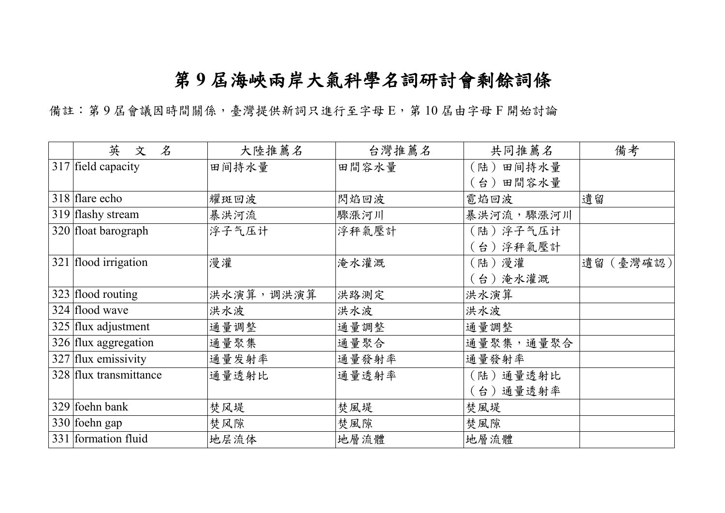## 第 **9** 屆海峽兩岸大氣科學名詞研討會剩餘詞條

備註: 第9屆會議因時間關係,臺灣提供新詞只進行至字母 E, 第10屆由字母 F 開始討論

| 英<br>$\ddot{\mathcal{X}}$<br>文  | 大陸推薦名     | 台灣推薦名 | 共同推薦名        | 備考        |
|---------------------------------|-----------|-------|--------------|-----------|
| $\overline{3}17$ field capacity | 田间持水量     | 田間容水量 | 田间持水量<br>(陆) |           |
|                                 |           |       | (台)田間容水量     |           |
| 318 flare echo                  | 耀斑回波      | 閃焰回波  | 雹焰回波         | 遺留        |
| 319 flashy stream               | 暴洪河流      | 驟漲河川  | 暴洪河流,驟漲河川    |           |
| 320 float barograph             | 浮子气压计     | 浮秤氣壓計 | (陆)浮子气压计     |           |
|                                 |           |       | (台) 浮秤氣壓計    |           |
| 321 flood irrigation            | 漫灌        | 淹水灌溉  | (陆)漫灌        | 遺留 (臺灣確認) |
|                                 |           |       | (台)淹水灌溉      |           |
| 323 flood routing               | 洪水演算,调洪演算 | 洪路測定  | 洪水演算         |           |
| 324 flood wave                  | 洪水波       | 洪水波   | 洪水波          |           |
| 325 flux adjustment             | 通量调整      | 通量調整  | 通量調整         |           |
| 326 flux aggregation            | 通量聚集      | 通量聚合  | 通量聚集,通量聚合    |           |
| 327 flux emissivity             | 通量发射率     | 通量發射率 | 通量發射率        |           |
| 328 flux transmittance          | 通量透射比     | 通量透射率 | (陆)通量透射比     |           |
|                                 |           |       | (台)通量透射率     |           |
| 329 foehn bank                  | 焚风堤       | 焚風堤   | 焚風堤          |           |
| 330 foehn gap                   | 焚风隙       | 焚風隙   | 焚風隙          |           |
| 331 formation fluid             | 地层流体      | 地層流體  | 地層流體         |           |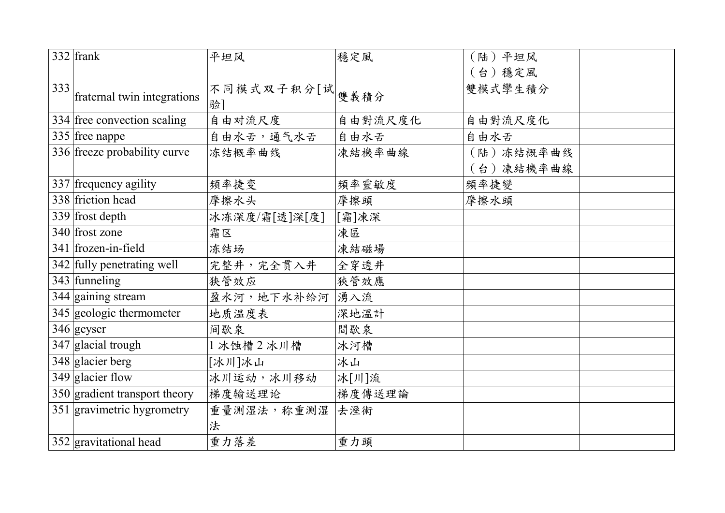|     | $332$ frank                             | 平坦风               | 穩定風     | (陆)平坦风    |
|-----|-----------------------------------------|-------------------|---------|-----------|
|     |                                         |                   |         | 〔台〕穩定風    |
| 333 | fraternal twin integrations             | 不同模式双子积分[试]<br>验] | 雙義積分    | 雙模式攣生積分   |
|     | 334 free convection scaling             | 自由对流尺度            | 自由對流尺度化 | 自由對流尺度化   |
|     | 335 free nappe                          | 自由水舌,通气水舌         | 自由水舌    | 自由水舌      |
|     | 336 freeze probability curve            | 冻结概率曲线            | 凍結機率曲線  | (陆)冻结概率曲线 |
|     |                                         |                   |         | (台)凍結機率曲線 |
|     | 337 frequency agility                   | 频率捷变              | 頻率靈敏度   | 頻率捷變      |
|     | 338 friction head                       | 摩擦水头              | 摩擦頭     | 摩擦水頭      |
|     | $339$ frost depth                       | 冰冻深度/霜[透]深[度]     | [霜]凍深   |           |
|     | 340 frost zone                          | 霜区                | 凍區      |           |
|     | 341 frozen-in-field                     | 冻结场               | 凍結磁場    |           |
|     | $\overline{342}$ fully penetrating well | 完整井,完全贯入井         | 全穿透井    |           |
|     | 343 funneling                           | 狭管效应              | 狹管效應    |           |
|     | $\overline{344}$ gaining stream         | 盈水河,地下水补给河        | 湧入流     |           |
|     | 345 geologic thermometer                | 地质温度表             | 深地溫計    |           |
|     | $346$ geyser                            | 间歇泉               | 間歇泉     |           |
|     | 347 glacial trough                      | 1冰蚀槽2冰川槽          | 冰河槽     |           |
|     | 348 glacier berg                        | [冰川]冰山            | 冰山      |           |
|     | $349$ glacier flow                      | 冰川运动,冰川移动         | 冰[川]流   |           |
|     | 350 gradient transport theory           | 梯度输送理论            | 梯度傳送理論  |           |
|     | 351 gravimetric hygrometry              | 重量测湿法,称重测湿        | 去溼術     |           |
|     |                                         | 法                 |         |           |
|     | 352 gravitational head                  | 重力落差              | 重力頭     |           |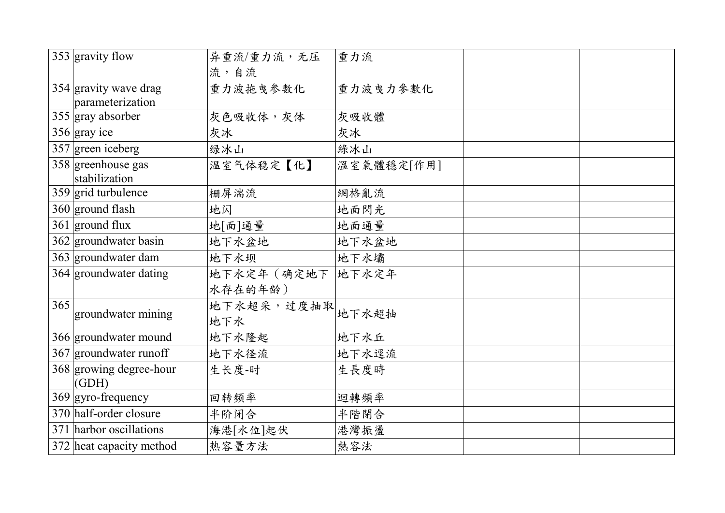|     | 353 gravity flow                    | 异重流/重力流,无压         | 重力流        |  |
|-----|-------------------------------------|--------------------|------------|--|
|     |                                     | 流,自流               |            |  |
|     | 354 gravity wave drag               | 重力波拖曳参数化           | 重力波曳力參數化   |  |
|     | parameterization                    |                    |            |  |
|     | $355$ gray absorber                 | 灰色吸收体,灰体           | 灰吸收體       |  |
|     | $356$ gray ice                      | 灰冰                 | 灰冰         |  |
|     | $357$ green iceberg                 | 绿冰山                | 綠冰山        |  |
|     | 358 greenhouse gas<br>stabilization | 温室气体稳定【化】          | 溫室氣體穩定[作用] |  |
|     | $359$ grid turbulence               | 栅屏湍流               | 網格亂流       |  |
|     | $360$ ground flash                  | 地闪                 | 地面閃光       |  |
|     | $361$ ground flux                   | 地[面]通量             | 地面通量       |  |
|     | 362 groundwater basin               | 地下水盆地              | 地下水盆地      |  |
|     | 363 groundwater dam                 | 地下水坝               | 地下水壩       |  |
|     | 364 groundwater dating              | 地下水定年 (确定地下  地下水定年 |            |  |
|     |                                     | 水存在的年龄)            |            |  |
| 365 |                                     | 地下水超采,过度抽取         | 地下水超抽      |  |
|     | groundwater mining                  | 地下水                |            |  |
|     | 366 groundwater mound               | 地下水隆起              | 地下水丘       |  |
|     | 367 groundwater runoff              | 地下水径流              | 地下水逕流      |  |
|     | 368 growing degree-hour             | 生长度-时              | 生長度時       |  |
|     | (GDH)                               |                    |            |  |
|     | $369$ gyro-frequency                | 回转频率               | 迴轉頻率       |  |
|     | 370 half-order closure              | 半阶闭合               | 半階閉合       |  |
|     | 371 harbor oscillations             | 海港[水位]起伏           | 港灣振盪       |  |
|     | 372 heat capacity method            | 热容量方法              | 熱容法        |  |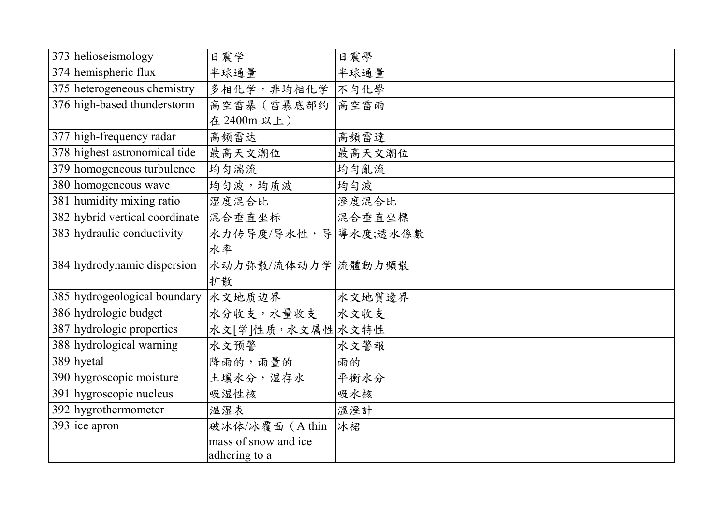| 373 helioseismology            | 日震学                  | 日震學    |  |
|--------------------------------|----------------------|--------|--|
| 374 hemispheric flux           | 半球通量                 | 半球通量   |  |
| 375 heterogeneous chemistry    | 多相化学,非均相化学 不勻化學      |        |  |
| 376 high-based thunderstorm    | 高空雷暴(雷暴底部约           | 高空雷雨   |  |
|                                | 在 2400m 以上)          |        |  |
| 377 high-frequency radar       | 高频雷达                 | 高頻雷達   |  |
| 378 highest astronomical tide  | 最高天文潮位               | 最高天文潮位 |  |
| 379 homogeneous turbulence     | 均匀湍流                 | 均匀亂流   |  |
| 380 homogeneous wave           | 均匀波,均质波              | 均匀波    |  |
| 381 humidity mixing ratio      | 湿度混合比                | 溼度混合比  |  |
| 382 hybrid vertical coordinate | 混合垂直坐标               | 混合垂直坐標 |  |
| 383 hydraulic conductivity     | 水力传导度/导水性,导 等水度;透水係數 |        |  |
|                                | 水率                   |        |  |
| 384 hydrodynamic dispersion    | 水动力弥散/流体动力学 流體動力頻散   |        |  |
|                                | 扩散                   |        |  |
| 385 hydrogeological boundary   | 水文地质边界               | 水文地質邊界 |  |
| 386 hydrologic budget          | 水分收支,水量收支            | 水文收支   |  |
| 387 hydrologic properties      | 水文[学]性质,水文属性 水文特性    |        |  |
| 388 hydrological warning       | 水文预警                 | 水文警報   |  |
| $389$ hyetal                   | 降雨的,雨量的              | 雨的     |  |
| 390 hygroscopic moisture       | 土壤水分,湿存水             | 平衡水分   |  |
| 391 hygroscopic nucleus        | 吸湿性核                 | 吸水核    |  |
| 392 hygrothermometer           | 温湿表                  | 溫溼計    |  |
| $393$ ice apron                | 破冰体/冰覆面(Athin        | 冰裙     |  |
|                                | mass of snow and ice |        |  |
|                                | adhering to a        |        |  |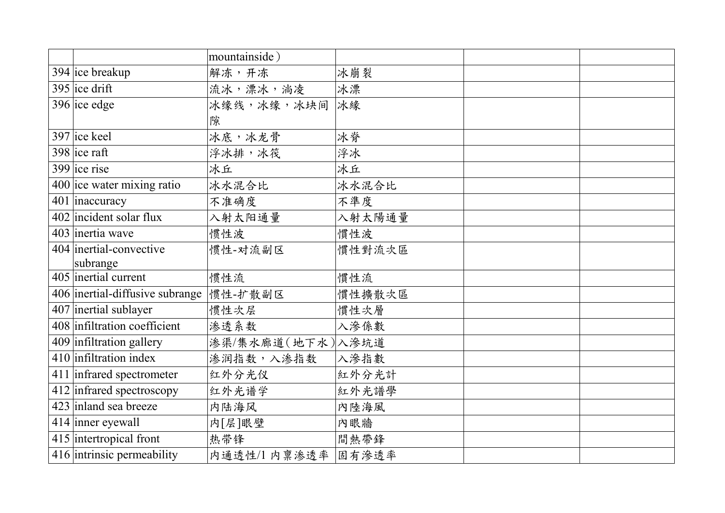|                                       | mountainside)    |        |  |
|---------------------------------------|------------------|--------|--|
| $394$ ice breakup                     | 解冻,开冻            | 冰崩裂    |  |
| $395$ ice drift                       | 流冰,漂冰,淌凌         | 冰漂     |  |
| $396$ ice edge                        | 冰缘线,冰缘,冰块间       | 冰綠     |  |
|                                       | 隙                |        |  |
| $397$ ice keel                        | 冰底,冰龙骨           | 冰脊     |  |
| $398$ ice raft                        | 浮冰排,冰筏           | 浮冰     |  |
| $399$ ice rise                        | 冰丘               | 冰丘     |  |
| $400$ ice water mixing ratio          | 冰水混合比            | 冰水混合比  |  |
| $\overline{401}$ inaccuracy           | 不准确度             | 不準度    |  |
| 402 incident solar flux               | 入射太阳通量           | 入射太陽通量 |  |
| 403 inertia wave                      | 惯性波              | 慣性波    |  |
| 404 inertial-convective               | 惯性-对流副区          | 慣性對流次區 |  |
| subrange                              |                  |        |  |
| 405 inertial current                  | 惯性流              | 慣性流    |  |
| 406 inertial-diffusive subrange       | 惯性-扩散副区          | 慣性擴散次區 |  |
| 407 inertial sublayer                 | 惯性次层             | 慣性次層   |  |
| 408 infiltration coefficient          | 渗透系数             | 入滲係數   |  |
| $\overline{409}$ infiltration gallery | 渗渠/集水廊道(地下水)入滲坑道 |        |  |
| 410 infiltration index                | 渗润指数,入渗指数        | 入滲指數   |  |
| 411 infrared spectrometer             | 红外分光仪            | 紅外分光計  |  |
| 412 infrared spectroscopy             | 红外光谱学            | 紅外光譜學  |  |
| 423 inland sea breeze                 | 内陆海风             | 內陸海風   |  |
| 414 inner eyewall                     | 内[层]眼壁           | 內眼牆    |  |
| $\overline{415}$ intertropical front  | 热带锋              | 間熱帶鋒   |  |
| 416 intrinsic permeability            | 内通透性/1 内禀渗透率     | 固有滲透率  |  |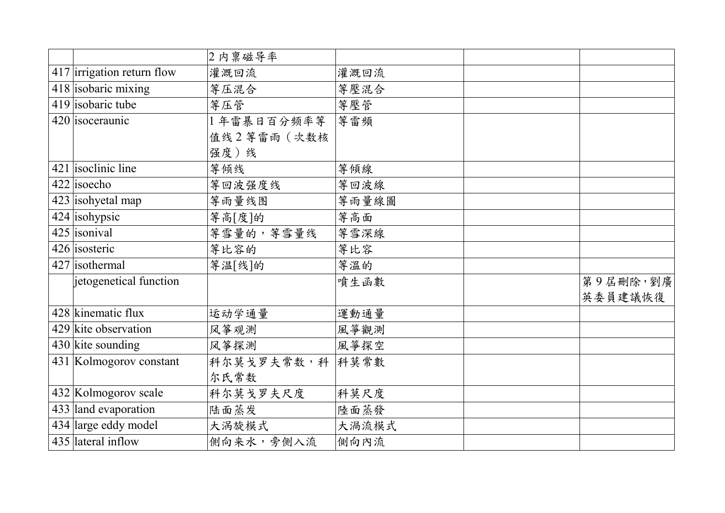|                            | 2 内禀磁导率         |       |          |
|----------------------------|-----------------|-------|----------|
| 417 irrigation return flow | 灌溉回流            | 灌溉回流  |          |
| 418 isobaric mixing        | 等压混合            | 等壓混合  |          |
| 419 isobaric tube          | 等压管             | 等壓管   |          |
| 420 isoceraunic            | 1年雷暴日百分频率等      | 等雷頻   |          |
|                            | 值线2等雷雨 (次数核     |       |          |
|                            | 强度)线            |       |          |
| $421$ isoclinic line       | 等倾线             | 等傾線   |          |
| $422$ isoecho              | 等回波强度线          | 等回波線  |          |
| 423 isohyetal map          | 等雨量线图           | 等雨量線圖 |          |
| 424 isohypsic              | 等高[度]的          | 等高面   |          |
| $425$ isonival             | 等雪量的, 等雪量线      | 等雪深線  |          |
| 426 isosteric              | 等比容的            | 等比容   |          |
| 427 isothermal             | 等温[线]的          | 等溫的   |          |
| jetogenetical function     |                 | 噴生函數  | 第9屆刪除,劉廣 |
|                            |                 |       | 英委員建議恢復  |
| 428 kinematic flux         | 运动学通量           | 運動通量  |          |
| 429 kite observation       | 风筝观测            | 風箏觀測  |          |
| 430 kite sounding          | 风筝探测            | 風箏探空  |          |
| 431 Kolmogorov constant    | 科尔莫戈罗夫常数,科 科莫常數 |       |          |
|                            | 尔氏常数            |       |          |
| 432 Kolmogorov scale       | 科尔莫戈罗夫尺度        | 科莫尺度  |          |
| 433 land evaporation       | 陆面蒸发            | 陸面蒸發  |          |
| 434 large eddy model       | 大涡旋模式           | 大渦流模式 |          |
| 435 lateral inflow         | 侧向来水,旁侧入流       | 侧向内流  |          |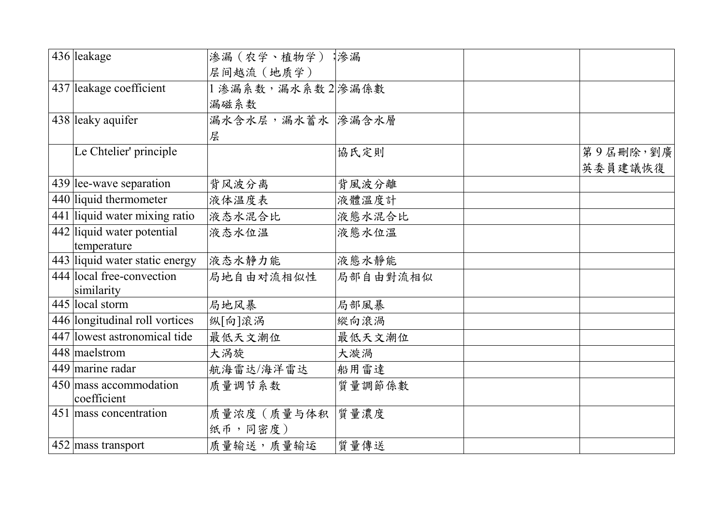| 436 leakage                    | 渗漏(农学、植物学);渗漏     |          |          |
|--------------------------------|-------------------|----------|----------|
|                                | 层间越流 (地质学)        |          |          |
| 437 leakage coefficient        | 1 渗漏系数,漏水系数2 滲漏係數 |          |          |
|                                | 漏磁系数              |          |          |
| 438 leaky aquifer              | 漏水含水层,漏水蓄水 滲漏含水層  |          |          |
|                                | 层                 |          |          |
| Le Chtelier' principle         |                   | 協氏定則     | 第9屆刪除,劉廣 |
|                                |                   |          | 英委員建議恢復  |
| 439 lee-wave separation        | 背风波分离             | 背風波分離    |          |
| 440 liquid thermometer         | 液体温度表             | 液體溫度計    |          |
| 441 liquid water mixing ratio  | 液态水混合比            | 液態水混合比   |          |
| 442 liquid water potential     | 液态水位温             | 液態水位溫    |          |
| temperature                    |                   |          |          |
| 443 liquid water static energy | 液态水静力能            | 液態水靜能    |          |
| 444 local free-convection      | 局地自由对流相似性         | 局部自由對流相似 |          |
| similarity                     |                   |          |          |
| 445 local storm                | 局地风暴              | 局部風暴     |          |
| 446 longitudinal roll vortices | 纵 向 滚涡            | 縱向滾渦     |          |
| 447 lowest astronomical tide   | 最低天文潮位            | 最低天文潮位   |          |
| 448 maelstrom                  | 大涡旋               | 大漩渦      |          |
| 449 marine radar               | 航海雷达/海洋雷达         | 船用雷達     |          |
| 450 mass accommodation         | 质量调节系数            | 質量調節係數   |          |
| coefficient                    |                   |          |          |
| 451 mass concentration         | 质量浓度(质量与体积        | 質量濃度     |          |
|                                | 纸币,同密度)           |          |          |
| 452 mass transport             | 质量输送,质量输运         | 質量傳送     |          |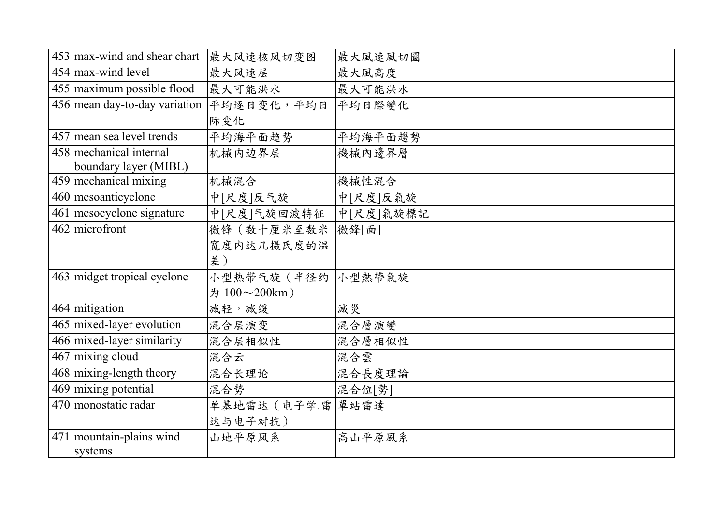| $453$ max-wind and shear chart                   | 最大风速核风切变图           | 最大風速風切圖   |  |
|--------------------------------------------------|---------------------|-----------|--|
| 454 max-wind level                               | 最大风速层               | 最大風高度     |  |
| 455 maximum possible flood                       | 最大可能洪水              | 最大可能洪水    |  |
| 456 mean day-to-day variation                    | 平均逐日变化,平均日          | 平均日際變化    |  |
|                                                  | 际变化                 |           |  |
| 457 mean sea level trends                        | 平均海平面趋势             | 平均海平面趨勢   |  |
| 458 mechanical internal<br>boundary layer (MIBL) | 机械内边界层              | 機械內邊界層    |  |
| 459 mechanical mixing                            | 机械混合                | 機械性混合     |  |
| 460 mesoanticyclone                              | 中[尺度]反气旋            | 中[尺度]反氣旋  |  |
| 461 mesocyclone signature                        | 中[尺度]气旋回波特征         | 中[尺度]氣旋標記 |  |
| $462$ microfront                                 | 微锋(数十厘米至数米          | 微鋒[面]     |  |
|                                                  | 宽度内达几摄氏度的温          |           |  |
|                                                  | 差)                  |           |  |
| 463 midget tropical cyclone                      | 小型热带气旋 (半径约  小型熱帶氣旋 |           |  |
|                                                  | 为 100~200km)        |           |  |
| 464 mitigation                                   | 减轻,减缓               | 減災        |  |
| 465 mixed-layer evolution                        | 混合层演变               | 混合層演變     |  |
| 466 mixed-layer similarity                       | 混合层相似性              | 混合層相似性    |  |
| $467$ mixing cloud                               | 混合云                 | 混合雲       |  |
| $468$ mixing-length theory                       | 混合长理论               | 混合長度理論    |  |
| 469 mixing potential                             | 混合势                 | 混合位[勢]    |  |
| 470 monostatic radar                             | 单基地雷达 (电子学.雷 單站雷達   |           |  |
|                                                  | 达与电子对抗)             |           |  |
| 471 mountain-plains wind                         | 山地平原风系              | 高山平原風系    |  |
| systems                                          |                     |           |  |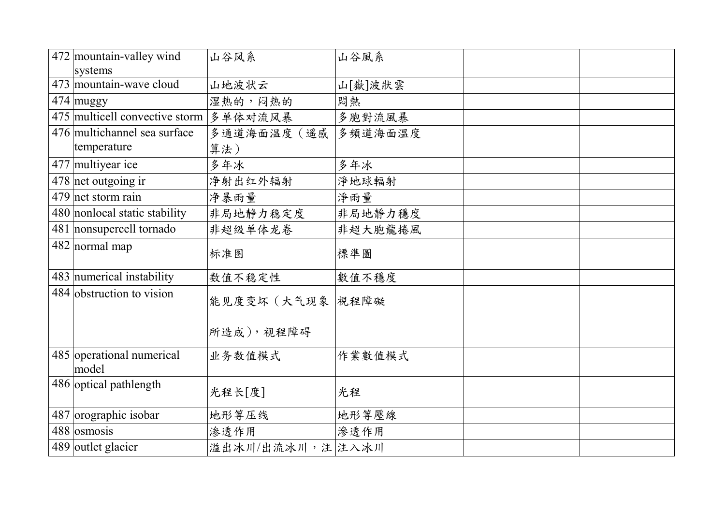| 472 mountain-valley wind               | 山谷风系             | 山谷風系    |  |
|----------------------------------------|------------------|---------|--|
| systems                                |                  |         |  |
| 473 mountain-wave cloud                | 山地波状云            | 山[嶽]波狀雲 |  |
| 474 muggy                              | 湿热的,闷热的          | 悶熱      |  |
| 475 multicell convective storm 多单体对流风暴 |                  | 多胞對流風暴  |  |
| 476 multichannel sea surface           | 多通道海面温度(遥感       | 多頻道海面溫度 |  |
| temperature                            | 算法)              |         |  |
| $477$ multiyear ice                    | 多年冰              | 多年冰     |  |
| 478 net outgoing ir                    | 净射出红外辐射          | 淨地球輻射   |  |
| 479 net storm rain                     | 净暴雨量             | 淨雨量     |  |
| 480 nonlocal static stability          | 非局地静力稳定度         | 非局地靜力穩度 |  |
| 481 nonsupercell tornado               | 非超级单体龙卷          | 非超大胞龍捲風 |  |
| $482$ normal map                       | 标准图              | 標準圖     |  |
| 483 numerical instability              | 数值不稳定性           | 數值不穩度   |  |
| 484 obstruction to vision              | 能见度变坏(大气现象  視程障礙 |         |  |
|                                        |                  |         |  |
|                                        | 所造成), 视程障碍       |         |  |
| 485 operational numerical              | 业务数值模式           | 作業數值模式  |  |
| model                                  |                  |         |  |
| 486 optical pathlength                 | 光程长[度]           | 光程      |  |
| 487 orographic isobar                  | 地形等压线            | 地形等壓線   |  |
| 488 osmosis                            | 渗透作用             | 滲透作用    |  |
| 489 outlet glacier                     | 溢出冰川/出流冰川,注 注入冰川 |         |  |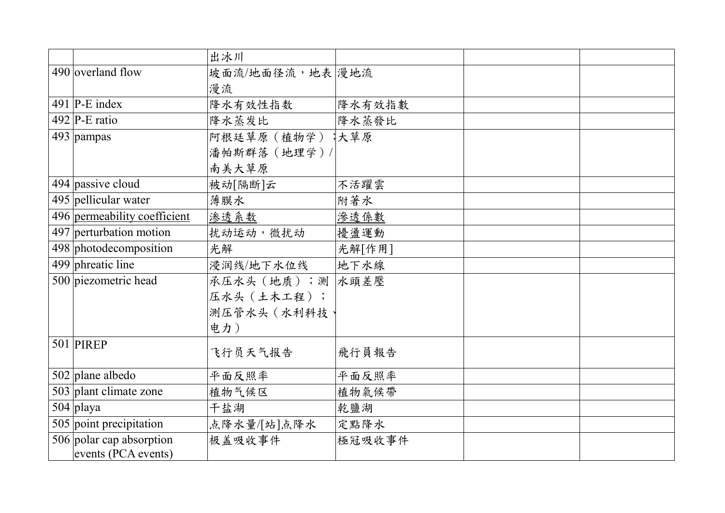|                                                 | 出冰川              |        |  |
|-------------------------------------------------|------------------|--------|--|
| 490 overland flow                               | 坡面流/地面径流,地表 漫地流  |        |  |
|                                                 | 漫流               |        |  |
| 491 $P-E$ index                                 | 降水有效性指数          | 降水有效指數 |  |
| 492 $\vert$ P-E ratio                           | 降水蒸发比            | 降水蒸發比  |  |
| 493 pampas                                      | 阿根廷草原 (植物学) 未草原  |        |  |
|                                                 | 潘帕斯群落 (地理学)/     |        |  |
|                                                 | 南美大草原            |        |  |
| 494 passive cloud                               | 被动[隔断]云          | 不活躍雲   |  |
| 495 pellicular water                            | 薄膜水              | 附著水    |  |
| 496 permeability coefficient                    | 渗透系数             | 渗透係數   |  |
| 497 perturbation motion                         | 扰动运动, 微扰动        | 擾盪運動   |  |
| 498 photodecomposition                          | 光解               | 光解[作用] |  |
| 499 phreatic line                               | 浸润线/地下水位线        | 地下水線   |  |
| 500 piezometric head                            | 承压水头 (地质);测 水頭差壓 |        |  |
|                                                 | 压水头 (土木工程);      |        |  |
|                                                 | 测压管水头 (水利科技      |        |  |
|                                                 | 电力)              |        |  |
| $501$ PIREP                                     | 飞行员天气报告          | 飛行員報告  |  |
|                                                 |                  |        |  |
| $502$ plane albedo                              | 平面反照率            | 平面反照率  |  |
| 503 plant climate zone                          | 植物气候区            | 植物氣候帶  |  |
| $504$ playa                                     | 干盐湖              | 乾鹽湖    |  |
| 505 point precipitation                         | 点降水量/[站]点降水      | 定點降水   |  |
| 506 polar cap absorption<br>events (PCA events) | 极盖吸收事件           | 極冠吸收事件 |  |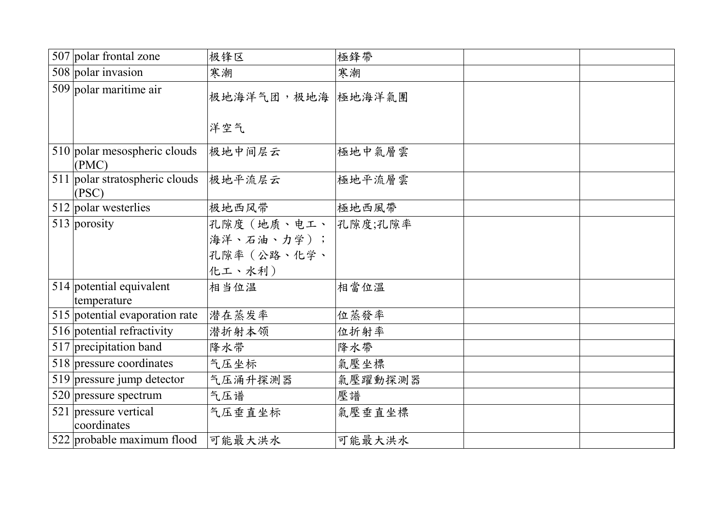| 507 polar frontal zone                  | 极锋区                                              | 極鋒帶     |  |
|-----------------------------------------|--------------------------------------------------|---------|--|
| 508 polar invasion                      | 寒潮                                               | 寒潮      |  |
| $509$ polar maritime air                | 极地海洋气团,极地海 極地海洋氣團                                |         |  |
|                                         | 洋空气                                              |         |  |
| 510 polar mesospheric clouds<br>(PMC)   | 极地中间层云                                           | 極地中氣層雲  |  |
| 511 polar stratospheric clouds<br>(PSC) | 极地平流层云                                           | 極地平流層雲  |  |
| 512 polar westerlies                    | 极地西风带                                            | 極地西風帶   |  |
| $513$ porosity                          | 孔隙度(地质、电工、<br>海洋、石油、力学);<br>孔隙率(公路、化学、<br>化工、水利) | 孔隙度;孔隙率 |  |
| 514 potential equivalent<br>temperature | 相当位温                                             | 相當位溫    |  |
| 515 potential evaporation rate          | 潜在蒸发率                                            | 位蒸發率    |  |
| 516 potential refractivity              | 潜折射本领                                            | 位折射率    |  |
| 517 precipitation band                  | 降水带                                              | 降水帶     |  |
| 518 pressure coordinates                | 气压坐标                                             | 氣壓坐標    |  |
| 519 pressure jump detector              | 气压涌升探测器                                          | 氣壓躍動探測器 |  |
| 520 pressure spectrum                   | 气压谱                                              | 壓譜      |  |
| 521 pressure vertical<br>coordinates    | 气压垂直坐标                                           | 氣壓垂直坐標  |  |
| 522 probable maximum flood              | 可能最大洪水                                           | 可能最大洪水  |  |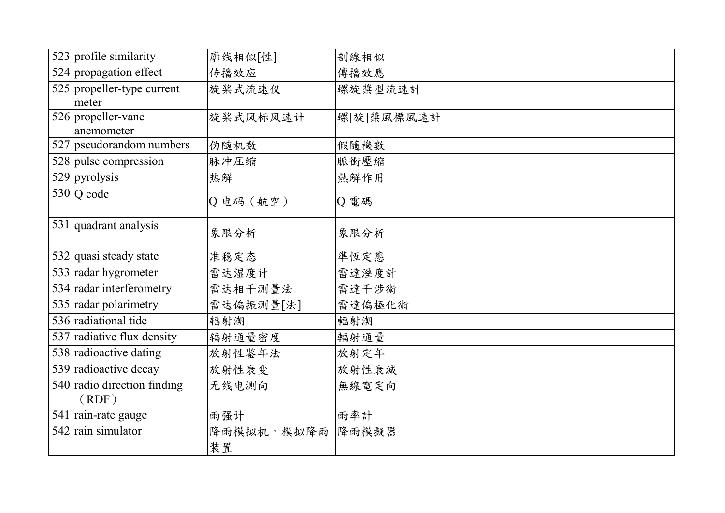| 523 profile similarity      | 廓线相似[性]    | 剖線相似       |  |
|-----------------------------|------------|------------|--|
| 524 propagation effect      | 传播效应       | 傳播效應       |  |
| 525 propeller-type current  | 旋桨式流速仪     | 螺旋槳型流速計    |  |
| meter                       |            |            |  |
| 526 propeller-vane          | 旋桨式风标风速计   | 螺[旋]槳風標風速計 |  |
| anemometer                  |            |            |  |
| 527 pseudorandom numbers    | 伪随机数       | 假隨機數       |  |
| 528 pulse compression       | 脉冲压缩       | 脈衝壓縮       |  |
| $529$ pyrolysis             | 热解         | 熱解作用       |  |
| $530$ Q code                |            |            |  |
|                             | Q 电码 (航空)  | Q電碼        |  |
| 531 quadrant analysis       |            |            |  |
|                             | 象限分析       | 象限分析       |  |
| 532 quasi steady state      | 准稳定态       | 準恆定態       |  |
| 533 radar hygrometer        | 雷达湿度计      | 雷達溼度計      |  |
| 534 radar interferometry    | 雷达相干测量法    | 雷達干涉術      |  |
| 535 radar polarimetry       | 雷达偏振测量[法]  | 雷達偏極化術     |  |
| 536 radiational tide        | 辐射潮        | 輻射潮        |  |
| 537 radiative flux density  | 辐射通量密度     | 輻射通量       |  |
| 538 radioactive dating      | 放射性鉴年法     | 放射定年       |  |
| 539 radioactive decay       | 放射性衰变      | 放射性衰減      |  |
| 540 radio direction finding | 无线电测向      | 無線電定向      |  |
| (RDF)                       |            |            |  |
| 541 rain-rate gauge         | 雨强计        | 雨率計        |  |
| 542 rain simulator          | 降雨模拟机,模拟降雨 | 降雨模擬器      |  |
|                             | 装置         |            |  |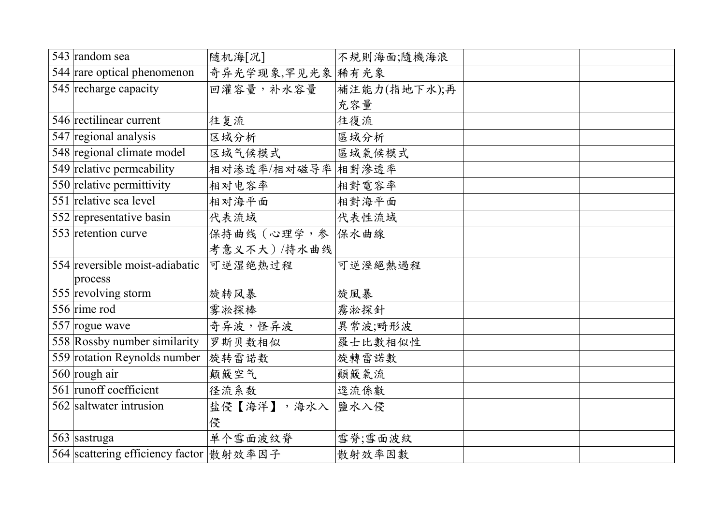| 543 random sea                            | 随机海[况]            | 不規則海面;隨機海浪   |  |
|-------------------------------------------|-------------------|--------------|--|
| 544 rare optical phenomenon               | 奇异光学现象,罕见光象 稀有光象  |              |  |
| 545 recharge capacity                     | 回灌容量,补水容量         | 補注能力(指地下水);再 |  |
|                                           |                   | 充容量          |  |
| 546 rectilinear current                   | 往复流               | 往復流          |  |
| 547 regional analysis                     | 区域分析              | 區域分析         |  |
| 548 regional climate model                | 区域气候模式            | 區域氣候模式       |  |
| $\overline{549}$ relative permeability    | 相对渗透率/相对磁导率 相對滲透率 |              |  |
| $\overline{550}$ relative permittivity    | 相对电容率             | 相對電容率        |  |
| 551 relative sea level                    | 相对海平面             | 相對海平面        |  |
| 552 representative basin                  | 代表流域              | 代表性流域        |  |
| 553 retention curve                       | 保持曲线 (心理学,参 保水曲線  |              |  |
|                                           | 考意义不大) /持水曲线      |              |  |
| 554 reversible moist-adiabatic            | 可逆湿绝热过程           | 可逆溼絕熱過程      |  |
| process                                   |                   |              |  |
| 555 revolving storm                       | 旋转风暴              | 旋風暴          |  |
| 556 $\text{rime}$ rod                     | 雾凇探棒              | 霧淞探針         |  |
| 557 rogue wave                            | 奇异波,怪异波           | 異常波;畸形波      |  |
| 558 Rossby number similarity              | 罗斯贝数相似            | 羅士比數相似性      |  |
| 559 rotation Reynolds number              | 旋转雷诺数             | 旋轉雷諾數        |  |
| 560 rough air                             | 颠簸空气              | 顛簸氣流         |  |
| 561 runoff coefficient                    | 径流系数              | 逕流係數         |  |
| 562 saltwater intrusion                   | 盐侵【海洋】,海水入        | 鹽水入侵         |  |
|                                           | 侵                 |              |  |
| 563 sastruga                              | 单个雪面波纹脊           | 雪脊;雪面波紋      |  |
| 564 scattering efficiency factor   散射效率因子 |                   | 散射效率因數       |  |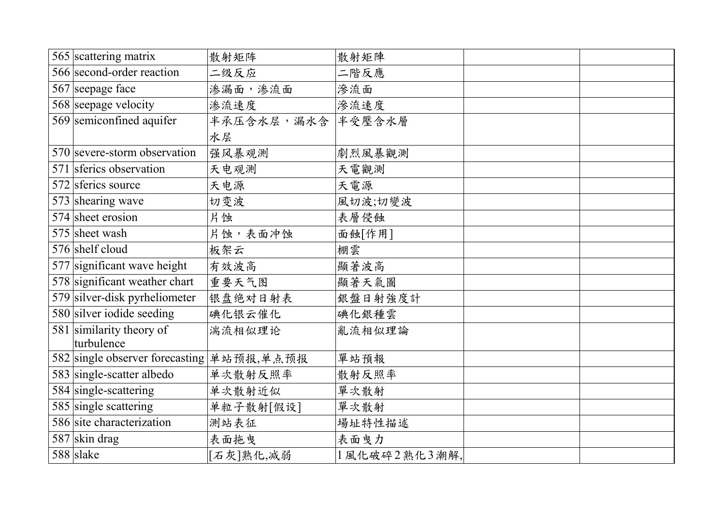| 565 scattering matrix                     | 散射矩阵       | 散射矩陣         |  |
|-------------------------------------------|------------|--------------|--|
| 566 second-order reaction                 | 二级反应       | 二階反應         |  |
| 567 seepage face                          | 渗漏面,渗流面    | 滲流面          |  |
| 568 seepage velocity                      | 渗流速度       | 滲流速度         |  |
| 569 semiconfined aquifer                  | 半承压含水层,漏水含 | 半受壓含水層       |  |
|                                           | 水层         |              |  |
| 570 severe-storm observation              | 强风暴观测      | 劇烈風暴觀測       |  |
| 571 sferics observation                   | 天电观测       | 天電觀測         |  |
| 572 sferics source                        | 天电源        | 天電源          |  |
| 573 shearing wave                         | 切变波        | 風切波;切變波      |  |
| 574 sheet erosion                         | 片蚀         | 表層侵蝕         |  |
| 575 sheet wash                            | 片蚀,表面冲蚀    | 面蝕[作用]       |  |
| 576 shelf cloud                           | 板架云        | 棚雲           |  |
| 577 significant wave height               | 有效波高       | 顯著波高         |  |
| 578 significant weather chart             | 重要天气图      | 顯著天氣圖        |  |
| 579 silver-disk pyrheliometer             | 银盘绝对日射表    | 銀盤日射強度計      |  |
| 580 silver iodide seeding                 | 碘化银云催化     | 碘化銀種雲        |  |
| 581 similarity theory of                  | 湍流相似理论     | 亂流相似理論       |  |
| turbulence                                |            |              |  |
| 582 single observer forecasting 单站预报,单点预报 |            | 單站預報         |  |
| 583 single-scatter albedo                 | 单次散射反照率    | 散射反照率        |  |
| 584 single-scattering                     | 单次散射近似     | 單次散射         |  |
| 585 single scattering                     | 单粒子散射[假设]  | 單次散射         |  |
| 586 site characterization                 | 测站表征       | 場址特性描述       |  |
| 587 skin drag                             | 表面拖曳       | 表面曳力         |  |
| $588$ slake                               | [石灰]熟化,减弱  | 1風化破碎2熟化3潮解, |  |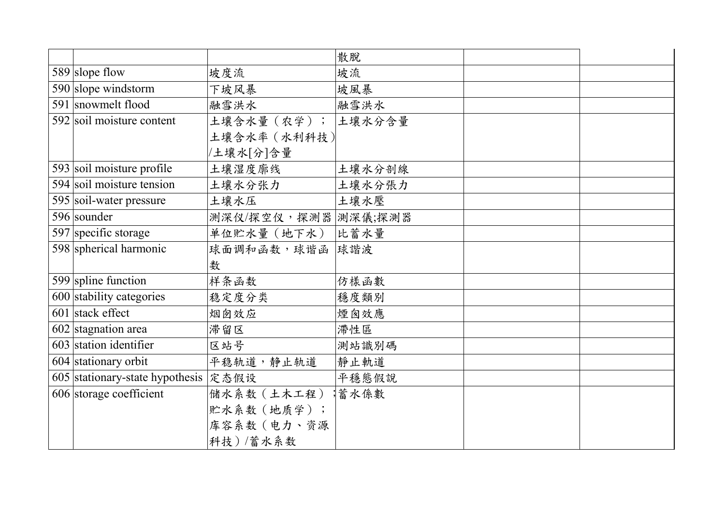|                                      |                      | 散脫     |  |
|--------------------------------------|----------------------|--------|--|
| 589 slope flow                       | 坡度流                  | 坡流     |  |
| 590 slope windstorm                  | 下坡风暴                 | 坡風暴    |  |
| 591 snowmelt flood                   | 融雪洪水                 | 融雪洪水   |  |
| 592 soil moisture content            | 土壤含水量 (农学);  土壤水分含量  |        |  |
|                                      | 土壤含水率 (水利科技)         |        |  |
|                                      | /土壤水[分]含量            |        |  |
| 593 soil moisture profile            | 土壤湿度廓线               | 土壤水分剖線 |  |
| 594 soil moisture tension            | 土壤水分张力               | 土壤水分張力 |  |
| 595 soil-water pressure              | 土壤水压                 | 土壤水壓   |  |
| 596 sounder                          | 测深仪/探空仪,探测器  測深儀;探測器 |        |  |
| 597 specific storage                 | 单位贮水量 (地下水)          | 比蓄水量   |  |
| 598 spherical harmonic               | 球面调和函数,球谐函 球諧波       |        |  |
|                                      | 数                    |        |  |
| 599 spline function                  | 样条函数                 | 仿樣函數   |  |
| 600 stability categories             | 稳定度分类                | 穩度類別   |  |
| $\overline{601}$ stack effect        | 烟囱效应                 | 煙囪效應   |  |
| 602 stagnation area                  | 滞留区                  | 滯性區    |  |
| 603 station identifier               | 区站号                  | 測站識別碼  |  |
| 604 stationary orbit                 | 平稳轨道,静止轨道            | 靜止軌道   |  |
| 605 stationary-state hypothesis 定态假设 |                      | 平穩態假說  |  |
| 606 storage coefficient              | 储水系数 (土木工程)          | 蓄水係數   |  |
|                                      | 贮水系数(地质学);           |        |  |
|                                      | 库容系数 (电力、资源          |        |  |
|                                      | 科技)/蓄水系数             |        |  |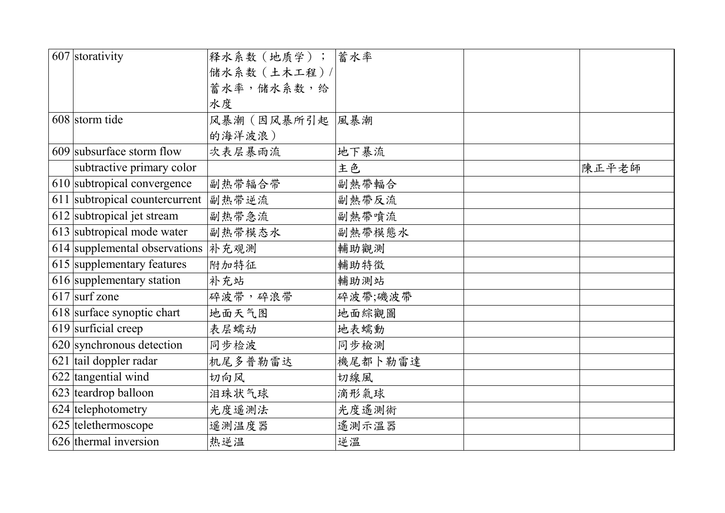| 607 storativity                | 释水系数 (地质学); 當水率 |         |       |
|--------------------------------|-----------------|---------|-------|
|                                | 储水系数(土木工程)/     |         |       |
|                                | 蓄水率,储水系数,给      |         |       |
|                                | 水度              |         |       |
| 608 storm tide                 | 风暴潮(因风暴所引起      | 風暴潮     |       |
|                                | 的海洋波浪)          |         |       |
| 609 subsurface storm flow      | 次表层暴雨流          | 地下暴流    |       |
| subtractive primary color      |                 | 主色      | 陳正平老師 |
| 610 subtropical convergence    | 副热带辐合带          | 副熱帶輻合   |       |
| 611 subtropical countercurrent | 副热带逆流           | 副熱帶反流   |       |
| 612 subtropical jet stream     | 副热带急流           | 副熱帶噴流   |       |
| 613 subtropical mode water     | 副热带模态水          | 副熱帶模態水  |       |
| 614 supplemental observations  | 补充观测            | 輔助觀測    |       |
| 615 supplementary features     | 附加特征            | 輔助特徵    |       |
| 616 supplementary station      | 补充站             | 輔助測站    |       |
| $617$ surf zone                | 碎波带,碎浪带         | 碎波帶;磯波帶 |       |
| 618 surface synoptic chart     | 地面天气图           | 地面綜觀圖   |       |
| $619$ surficial creep          | 表层蠕动            | 地表蠕動    |       |
| 620 synchronous detection      | 同步检波            | 同步檢測    |       |
| 621 tail doppler radar         | 机尾多普勒雷达         | 機尾都卜勒雷達 |       |
| 622 tangential wind            | 切向风             | 切線風     |       |
| 623 teardrop balloon           | 泪珠状气球           | 滴形氣球    |       |
| 624 telephotometry             | 光度遥测法           | 光度遙測術   |       |
| 625 telethermoscope            | 遥测温度器           | 遙測示溫器   |       |
| 626 thermal inversion          | 热逆温             | 逆溫      |       |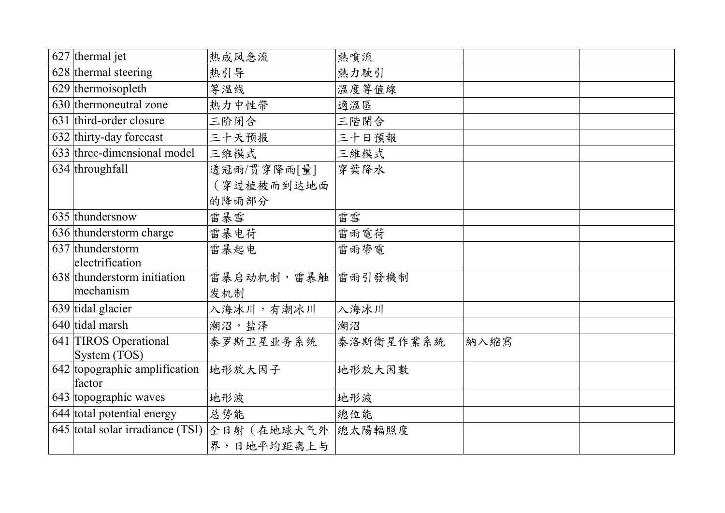| $627$ thermal jet                | 热成风急流       | 熱噴流       |      |  |
|----------------------------------|-------------|-----------|------|--|
| 628 thermal steering             | 热引导         | 熱力駛引      |      |  |
| 629 thermoisopleth               | 等温线         | 溫度等值線     |      |  |
| 630 thermoneutral zone           | 热力中性带       | 適溫區       |      |  |
| 631 third-order closure          | 三阶闭合        | 三階閉合      |      |  |
| 632 thirty-day forecast          | 三十天预报       | 三十日預報     |      |  |
| 633 three-dimensional model      | 三维模式        | 三維模式      |      |  |
| 634 throughfall                  | 透冠雨/贯穿降雨[量] | 穿葉降水      |      |  |
|                                  | (穿过植被而到达地面  |           |      |  |
|                                  | 的降雨部分       |           |      |  |
| 635 thundersnow                  | 雷暴雪         | 雷雪        |      |  |
| 636 thunderstorm charge          | 雷暴电荷        | 雷雨電荷      |      |  |
| 637 thunderstorm                 | 雷暴起电        | 雷雨帶電      |      |  |
| electrification                  |             |           |      |  |
| 638 thunderstorm initiation      | 雷暴启动机制,雷暴触  | 雷雨引發機制    |      |  |
| mechanism                        | 发机制         |           |      |  |
| 639 tidal glacier                | 入海冰川,有潮冰川   | 入海冰川      |      |  |
| 640 tidal marsh                  | 潮沼,盐泽       | 潮沼        |      |  |
| 641 TIROS Operational            | 泰罗斯卫星业务系统   | 泰洛斯衛星作業系統 | 納入縮寫 |  |
| System (TOS)                     |             |           |      |  |
| 642 topographic amplification    | 地形放大因子      | 地形放大因數    |      |  |
| factor                           |             |           |      |  |
| 643 topographic waves            | 地形波         | 地形波       |      |  |
| 644 total potential energy       | 总势能         | 總位能       |      |  |
| 645 total solar irradiance (TSI) | 全日射 (在地球大气外 | 總太陽輻照度    |      |  |
|                                  | 界,日地平均距离上与  |           |      |  |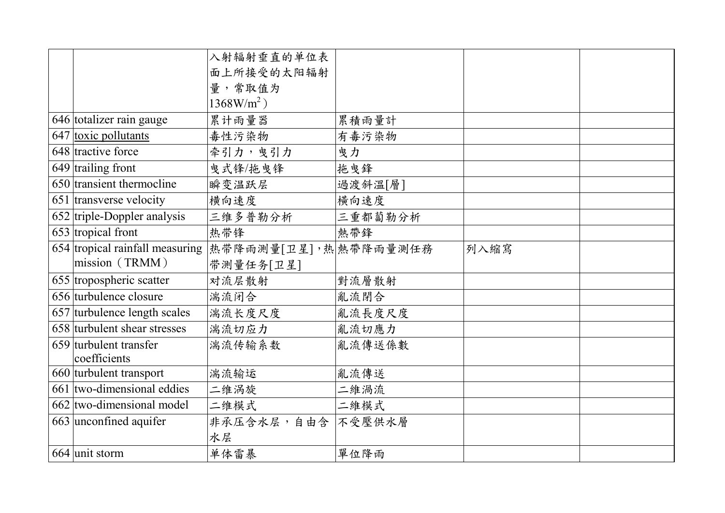|                                                          | 入射辐射垂直的单位表                |         |      |  |
|----------------------------------------------------------|---------------------------|---------|------|--|
|                                                          | 面上所接受的太阳辐射                |         |      |  |
|                                                          | 量,常取值为                    |         |      |  |
|                                                          | $1368$ W/m <sup>2</sup> ) |         |      |  |
| 646 totalizer rain gauge                                 | 累计雨量器                     | 累積雨量計   |      |  |
| 647 toxic pollutants                                     | 毒性污染物                     | 有毒污染物   |      |  |
| 648 tractive force                                       | 牵引力,曳引力                   | 曳力      |      |  |
| 649 trailing front                                       | 曳式锋/拖曳锋                   | 拖曳鋒     |      |  |
| 650 transient thermocline                                | 瞬变温跃层                     | 過渡斜溫[層] |      |  |
| 651 transverse velocity                                  | 横向速度                      | 横向速度    |      |  |
| 652 triple-Doppler analysis                              | 三维多普勒分析                   | 三重都蔔勒分析 |      |  |
| $653$ tropical front                                     | 热带锋                       | 熱帶鋒     |      |  |
| 654 tropical rainfall measuring   热带降雨测量[卫星], 热 熱帶降雨量測任務 |                           |         | 列入縮寫 |  |
| mission (TRMM)                                           | 带测量任务[卫星]                 |         |      |  |
| 655 tropospheric scatter                                 | 对流层散射                     | 對流層散射   |      |  |
| 656 turbulence closure                                   | 湍流闭合                      | 亂流閉合    |      |  |
| 657 turbulence length scales                             | 湍流长度尺度                    | 亂流長度尺度  |      |  |
| 658 turbulent shear stresses                             | 湍流切应力                     | 亂流切應力   |      |  |
| 659 turbulent transfer                                   | 湍流传输系数                    | 亂流傳送係數  |      |  |
| coefficients                                             |                           |         |      |  |
| 660 turbulent transport                                  | 湍流输运                      | 亂流傳送    |      |  |
| $661$ two-dimensional eddies                             | 二维涡旋                      | 二維渦流    |      |  |
| 662 two-dimensional model                                | 二维模式                      | 二維模式    |      |  |
| 663 unconfined aquifer                                   | 非承压含水层,自由含 不受壓供水層         |         |      |  |
|                                                          | 水层                        |         |      |  |
| 664 unit storm                                           | 单体雷暴                      | 單位降雨    |      |  |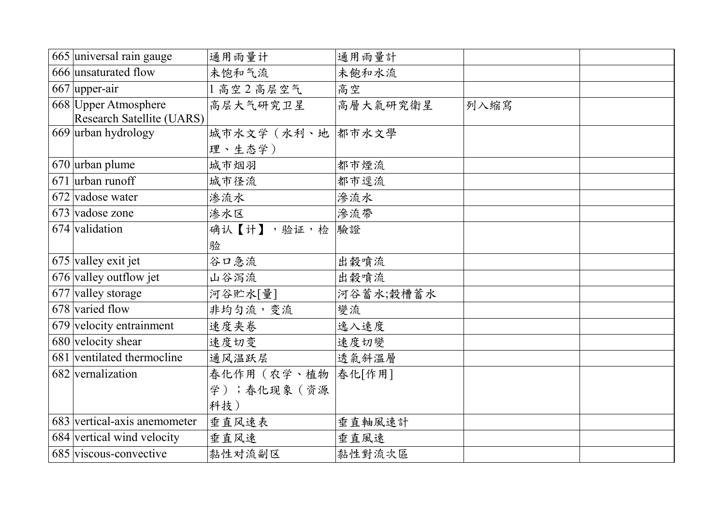| 665 universal rain gauge         | 通用雨量计               | 通用雨量計     |      |  |
|----------------------------------|---------------------|-----------|------|--|
| 666 unsaturated flow             | 未饱和气流               | 未飽和水流     |      |  |
| 667 upper-air                    | 1高空2高层空气            | 高空        |      |  |
| 668 Upper Atmosphere             | 高层大气研究卫星            | 高層大氣研究衛星  | 列入縮寫 |  |
| <b>Research Satellite (UARS)</b> |                     |           |      |  |
| 669 urban hydrology              | 城市水文学 (水利、地 都市水文學   |           |      |  |
|                                  | 理、生态学)              |           |      |  |
| $670$ urban plume                | 城市烟羽                | 都市煙流      |      |  |
| $671$ urban runoff               | 城市径流                | 都市逕流      |      |  |
| 672 vadose water                 | 渗流水                 | 滲流水       |      |  |
| 673 vadose zone                  | 渗水区                 | 滲流帶       |      |  |
| 674 validation                   | 确认【计】,验证,检          | 驗證        |      |  |
|                                  | 验                   |           |      |  |
| $675$ valley exit jet            | 谷口急流                | 出穀噴流      |      |  |
| 676 valley outflow jet           | 山谷泻流                | 出穀噴流      |      |  |
| 677 valley storage               | 河谷贮水[量]             | 河谷蓄水;穀槽蓄水 |      |  |
| 678 varied flow                  | 非均匀流,变流             | 變流        |      |  |
| 679 velocity entrainment         | 速度夹卷                | 逸入速度      |      |  |
| 680 velocity shear               | 速度切变                | 速度切變      |      |  |
| 681 ventilated thermocline       | 通风温跃层               | 透氣斜溫層     |      |  |
| 682 vernalization                | 春化作用 (农学、植物  春化[作用] |           |      |  |
|                                  | 学);春化现象(资源          |           |      |  |
|                                  | 科技)                 |           |      |  |
| 683 vertical-axis anemometer     | 垂直风速表               | 垂直軸風速計    |      |  |
| 684 vertical wind velocity       | 垂直风速                | 垂直風速      |      |  |
| 685 viscous-convective           | 黏性对流副区              | 黏性對流次區    |      |  |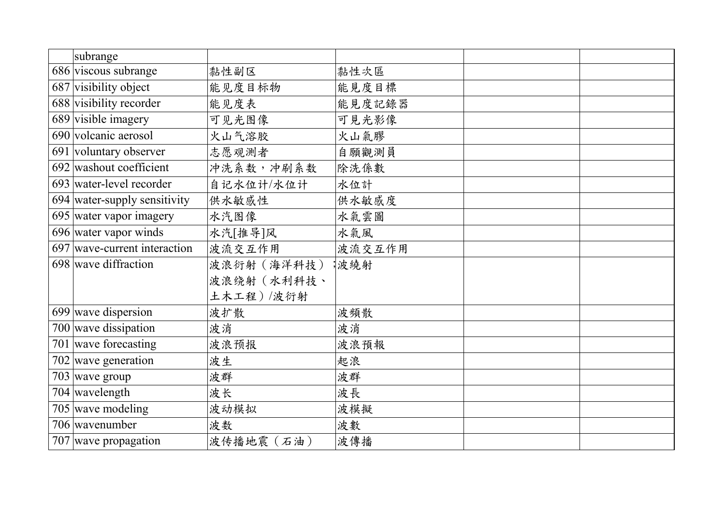| subrange                     |             |        |  |
|------------------------------|-------------|--------|--|
| 686 viscous subrange         | 黏性副区        | 黏性次區   |  |
| 687 visibility object        | 能见度目标物      | 能見度目標  |  |
| 688 visibility recorder      | 能见度表        | 能見度記錄器 |  |
| 689 visible imagery          | 可见光图像       | 可見光影像  |  |
| 690 volcanic aerosol         | 火山气溶胶       | 火山氣膠   |  |
| 691 voluntary observer       | 志愿观测者       | 自願觀測員  |  |
| 692 washout coefficient      | 冲洗系数,冲刷系数   | 除洗係數   |  |
| 693 water-level recorder     | 自记水位计/水位计   | 水位計    |  |
| 694 water-supply sensitivity | 供水敏感性       | 供水敏感度  |  |
| 695 water vapor imagery      | 水汽图像        | 水氣雲圖   |  |
| 696 water vapor winds        | 水汽[推导]风     | 水氣風    |  |
| 697 wave-current interaction | 波流交互作用      | 波流交互作用 |  |
| 698 wave diffraction         | 波浪衍射 (海洋科技) | 波繞射    |  |
|                              | 波浪绕射 (水利科技、 |        |  |
|                              | 土木工程)/波衍射   |        |  |
| 699 wave dispersion          | 波扩散         | 波頻散    |  |
| 700 wave dissipation         | 波消          | 波消     |  |
| 701 wave forecasting         | 波浪预报        | 波浪預報   |  |
| $702$ wave generation        | 波生          | 起浪     |  |
| $703$ wave group             | 波群          | 波群     |  |
| $704$ wavelength             | 波长          | 波長     |  |
| 705 wave modeling            | 波动模拟        | 波模擬    |  |
| 706 wavenumber               | 波数          | 波數     |  |
| 707 wave propagation         | 波传播地震 (石油)  | 波傳播    |  |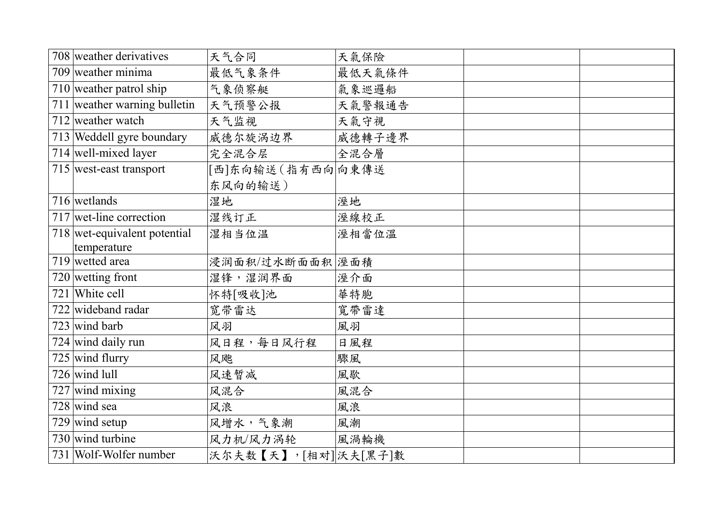| 708 weather derivatives       | 天气合同                 | 天氣保險   |  |
|-------------------------------|----------------------|--------|--|
| 709 weather minima            | 最低气象条件               | 最低天氣條件 |  |
| $710$ weather patrol ship     | 气象侦察艇                | 氣象巡邏船  |  |
| 711 weather warning bulletin  | 天气预警公报               | 天氣警報通告 |  |
| $712$ weather watch           | 天气监视                 | 天氣守視   |  |
| 713 Weddell gyre boundary     | 威德尔旋涡边界              | 威德轉子邊界 |  |
| $\sqrt{714}$ well-mixed layer | 完全混合层                | 全混合層   |  |
| 715 west-east transport       | [西]东向输送(指有西向向東傳送     |        |  |
|                               | 东风向的输送)              |        |  |
| 716 wetlands                  | 湿地                   | 溼地     |  |
| $717$ wet-line correction     | 湿线订正                 | 溼線校正   |  |
| 718 wet-equivalent potential  | 湿相当位温                | 溼相當位溫  |  |
| temperature                   |                      |        |  |
| 719 wetted area               | 浸润面积/过水断面面积  溼面積     |        |  |
| 720 wetting front             | 湿锋,湿润界面              | 溼介面    |  |
| 721 White cell                | 怀特[吸收]池              | 華特胞    |  |
| 722 wideband radar            | 宽带雷达                 | 寬帶雷達   |  |
| 723 wind barb                 | 风羽                   | 風羽     |  |
| $\sqrt{724}$ wind daily run   | 风日程,每日风行程            | 日風程    |  |
| $725$ wind flurry             | 风飑                   | 驟風     |  |
| $726$ wind lull               | 风速暂减                 | 風歇     |  |
| $727$ wind mixing             | 风混合                  | 風混合    |  |
| $728$ wind sea                | 风浪                   | 風浪     |  |
| $729$ wind setup              | 风增水,气象潮              | 風潮     |  |
| 730 wind turbine              | 风力机/风力涡轮             | 風渦輪機   |  |
| 731 Wolf-Wolfer number        | 沃尔夫数【天】,[相对] 沃夫[黑子]數 |        |  |